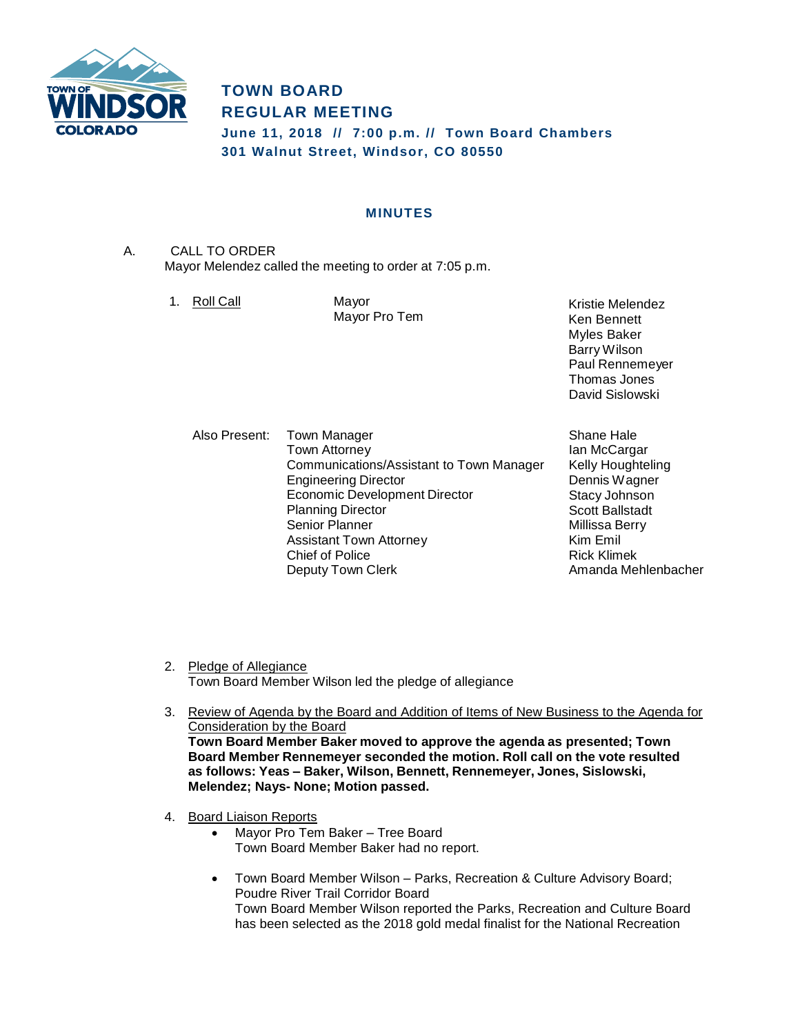

# **TOWN BOARD REGULAR MEETING June 11, 2018 // 7:00 p.m. // Town Board Chambers**

**301 Walnut Street, Windsor, CO 80550**

## **MINUTES**

A. CALL TO ORDER Mayor Melendez called the meeting to order at 7:05 p.m.

1. Roll Call Mayor

Mayor Pro Tem

Kristie Melendez Ken Bennett Myles Baker Barry Wilson Paul Rennemeyer Thomas Jones David Sislowski

Also Present: Town Manager Town Attorney Communications/Assistant to Town Manager Engineering Director Economic Development Director Planning Director Senior Planner Assistant Town Attorney Chief of Police Deputy Town Clerk

Shane Hale Ian McCargar Kelly Houghteling Dennis Wagner Stacy Johnson Scott Ballstadt Millissa Berry Kim Emil Rick Klimek Amanda Mehlenbacher

- 2. Pledge of Allegiance Town Board Member Wilson led the pledge of allegiance
- 3. Review of Agenda by the Board and Addition of Items of New Business to the Agenda for Consideration by the Board **Town Board Member Baker moved to approve the agenda as presented; Town Board Member Rennemeyer seconded the motion. Roll call on the vote resulted as follows: Yeas – Baker, Wilson, Bennett, Rennemeyer, Jones, Sislowski, Melendez; Nays- None; Motion passed.**
- 4. Board Liaison Reports
	- Mayor Pro Tem Baker Tree Board Town Board Member Baker had no report.
	- Town Board Member Wilson Parks, Recreation & Culture Advisory Board; Poudre River Trail Corridor Board Town Board Member Wilson reported the Parks, Recreation and Culture Board has been selected as the 2018 gold medal finalist for the National Recreation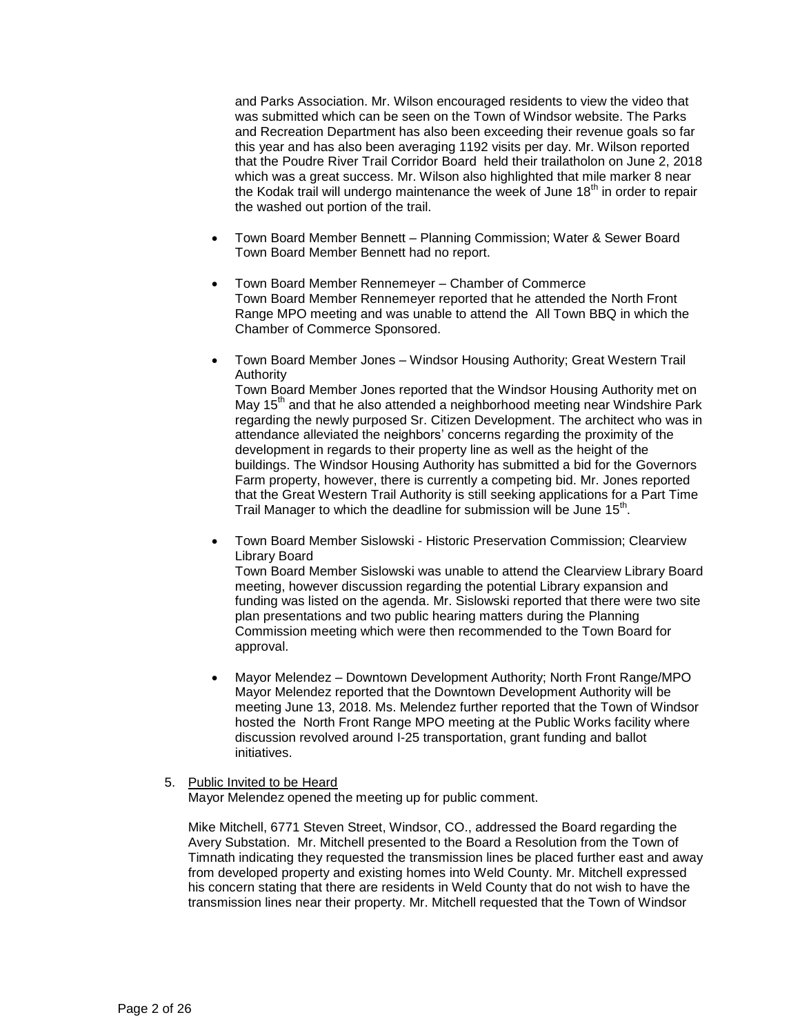and Parks Association. Mr. Wilson encouraged residents to view the video that was submitted which can be seen on the Town of Windsor website. The Parks and Recreation Department has also been exceeding their revenue goals so far this year and has also been averaging 1192 visits per day. Mr. Wilson reported that the Poudre River Trail Corridor Board held their trailatholon on June 2, 2018 which was a great success. Mr. Wilson also highlighted that mile marker 8 near the Kodak trail will undergo maintenance the week of June  $18<sup>th</sup>$  in order to repair the washed out portion of the trail.

- Town Board Member Bennett Planning Commission; Water & Sewer Board Town Board Member Bennett had no report.
- Town Board Member Rennemeyer Chamber of Commerce Town Board Member Rennemeyer reported that he attended the North Front Range MPO meeting and was unable to attend the All Town BBQ in which the Chamber of Commerce Sponsored.
- Town Board Member Jones Windsor Housing Authority; Great Western Trail Authority

Town Board Member Jones reported that the Windsor Housing Authority met on May 15<sup>th</sup> and that he also attended a neighborhood meeting near Windshire Park regarding the newly purposed Sr. Citizen Development. The architect who was in attendance alleviated the neighbors' concerns regarding the proximity of the development in regards to their property line as well as the height of the buildings. The Windsor Housing Authority has submitted a bid for the Governors Farm property, however, there is currently a competing bid. Mr. Jones reported that the Great Western Trail Authority is still seeking applications for a Part Time Trail Manager to which the deadline for submission will be June 15<sup>th</sup>.

 Town Board Member Sislowski - Historic Preservation Commission; Clearview Library Board

Town Board Member Sislowski was unable to attend the Clearview Library Board meeting, however discussion regarding the potential Library expansion and funding was listed on the agenda. Mr. Sislowski reported that there were two site plan presentations and two public hearing matters during the Planning Commission meeting which were then recommended to the Town Board for approval.

 Mayor Melendez – Downtown Development Authority; North Front Range/MPO Mayor Melendez reported that the Downtown Development Authority will be meeting June 13, 2018. Ms. Melendez further reported that the Town of Windsor hosted the North Front Range MPO meeting at the Public Works facility where discussion revolved around I-25 transportation, grant funding and ballot initiatives.

#### 5. Public Invited to be Heard

Mayor Melendez opened the meeting up for public comment.

Mike Mitchell, 6771 Steven Street, Windsor, CO., addressed the Board regarding the Avery Substation. Mr. Mitchell presented to the Board a Resolution from the Town of Timnath indicating they requested the transmission lines be placed further east and away from developed property and existing homes into Weld County. Mr. Mitchell expressed his concern stating that there are residents in Weld County that do not wish to have the transmission lines near their property. Mr. Mitchell requested that the Town of Windsor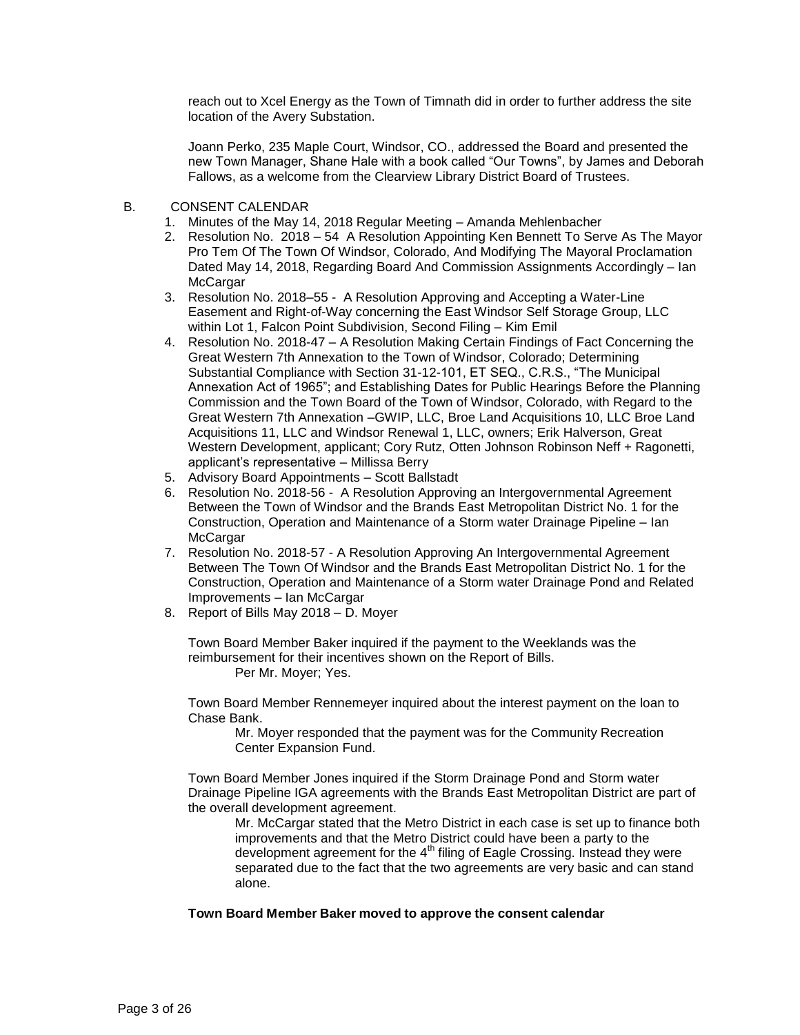reach out to Xcel Energy as the Town of Timnath did in order to further address the site location of the Avery Substation.

Joann Perko, 235 Maple Court, Windsor, CO., addressed the Board and presented the new Town Manager, Shane Hale with a book called "Our Towns", by James and Deborah Fallows, as a welcome from the Clearview Library District Board of Trustees.

- B. CONSENT CALENDAR
	- 1. Minutes of the May 14, 2018 Regular Meeting Amanda Mehlenbacher
	- 2. Resolution No. 2018 54 A Resolution Appointing Ken Bennett To Serve As The Mayor Pro Tem Of The Town Of Windsor, Colorado, And Modifying The Mayoral Proclamation Dated May 14, 2018, Regarding Board And Commission Assignments Accordingly – Ian **McCargar**
	- 3. Resolution No. 2018–55 A Resolution Approving and Accepting a Water-Line Easement and Right-of-Way concerning the East Windsor Self Storage Group, LLC within Lot 1, Falcon Point Subdivision, Second Filing – Kim Emil
	- 4. Resolution No. 2018-47 A Resolution Making Certain Findings of Fact Concerning the Great Western 7th Annexation to the Town of Windsor, Colorado; Determining Substantial Compliance with Section 31-12-101, ET SEQ., C.R.S., "The Municipal Annexation Act of 1965"; and Establishing Dates for Public Hearings Before the Planning Commission and the Town Board of the Town of Windsor, Colorado, with Regard to the Great Western 7th Annexation –GWIP, LLC, Broe Land Acquisitions 10, LLC Broe Land Acquisitions 11, LLC and Windsor Renewal 1, LLC, owners; Erik Halverson, Great Western Development, applicant; Cory Rutz, Otten Johnson Robinson Neff + Ragonetti, applicant's representative – Millissa Berry
	- 5. Advisory Board Appointments Scott Ballstadt
	- 6. Resolution No. 2018-56 A Resolution Approving an Intergovernmental Agreement Between the Town of Windsor and the Brands East Metropolitan District No. 1 for the Construction, Operation and Maintenance of a Storm water Drainage Pipeline – Ian **McCargar**
	- 7. Resolution No. 2018-57 A Resolution Approving An Intergovernmental Agreement Between The Town Of Windsor and the Brands East Metropolitan District No. 1 for the Construction, Operation and Maintenance of a Storm water Drainage Pond and Related Improvements – Ian McCargar
	- 8. Report of Bills May 2018 D. Moyer

Town Board Member Baker inquired if the payment to the Weeklands was the reimbursement for their incentives shown on the Report of Bills. Per Mr. Moyer; Yes.

Town Board Member Rennemeyer inquired about the interest payment on the loan to Chase Bank.

Mr. Moyer responded that the payment was for the Community Recreation Center Expansion Fund.

Town Board Member Jones inquired if the Storm Drainage Pond and Storm water Drainage Pipeline IGA agreements with the Brands East Metropolitan District are part of the overall development agreement.

Mr. McCargar stated that the Metro District in each case is set up to finance both improvements and that the Metro District could have been a party to the development agreement for the  $4<sup>th</sup>$  filing of Eagle Crossing. Instead they were separated due to the fact that the two agreements are very basic and can stand alone.

## **Town Board Member Baker moved to approve the consent calendar**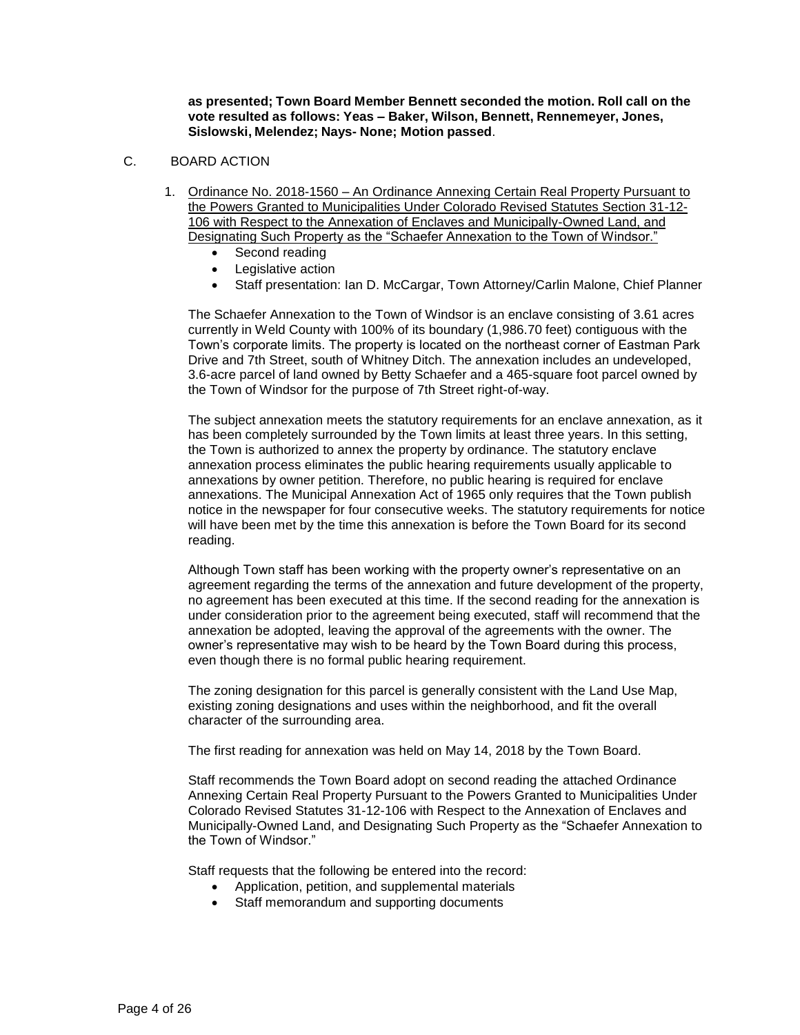**as presented; Town Board Member Bennett seconded the motion. Roll call on the vote resulted as follows: Yeas – Baker, Wilson, Bennett, Rennemeyer, Jones, Sislowski, Melendez; Nays- None; Motion passed**.

#### C. BOARD ACTION

- 1. Ordinance No. 2018-1560 An Ordinance Annexing Certain Real Property Pursuant to the Powers Granted to Municipalities Under Colorado Revised Statutes Section 31-12- 106 with Respect to the Annexation of Enclaves and Municipally-Owned Land, and Designating Such Property as the "Schaefer Annexation to the Town of Windsor."
	- Second reading
	- Legislative action
	- Staff presentation: Ian D. McCargar, Town Attorney/Carlin Malone, Chief Planner

The Schaefer Annexation to the Town of Windsor is an enclave consisting of 3.61 acres currently in Weld County with 100% of its boundary (1,986.70 feet) contiguous with the Town's corporate limits. The property is located on the northeast corner of Eastman Park Drive and 7th Street, south of Whitney Ditch. The annexation includes an undeveloped, 3.6-acre parcel of land owned by Betty Schaefer and a 465-square foot parcel owned by the Town of Windsor for the purpose of 7th Street right-of-way.

The subject annexation meets the statutory requirements for an enclave annexation, as it has been completely surrounded by the Town limits at least three years. In this setting, the Town is authorized to annex the property by ordinance. The statutory enclave annexation process eliminates the public hearing requirements usually applicable to annexations by owner petition. Therefore, no public hearing is required for enclave annexations. The Municipal Annexation Act of 1965 only requires that the Town publish notice in the newspaper for four consecutive weeks. The statutory requirements for notice will have been met by the time this annexation is before the Town Board for its second reading.

Although Town staff has been working with the property owner's representative on an agreement regarding the terms of the annexation and future development of the property, no agreement has been executed at this time. If the second reading for the annexation is under consideration prior to the agreement being executed, staff will recommend that the annexation be adopted, leaving the approval of the agreements with the owner. The owner's representative may wish to be heard by the Town Board during this process, even though there is no formal public hearing requirement.

The zoning designation for this parcel is generally consistent with the Land Use Map, existing zoning designations and uses within the neighborhood, and fit the overall character of the surrounding area.

The first reading for annexation was held on May 14, 2018 by the Town Board.

Staff recommends the Town Board adopt on second reading the attached Ordinance Annexing Certain Real Property Pursuant to the Powers Granted to Municipalities Under Colorado Revised Statutes 31-12-106 with Respect to the Annexation of Enclaves and Municipally-Owned Land, and Designating Such Property as the "Schaefer Annexation to the Town of Windsor."

Staff requests that the following be entered into the record:

- Application, petition, and supplemental materials
- Staff memorandum and supporting documents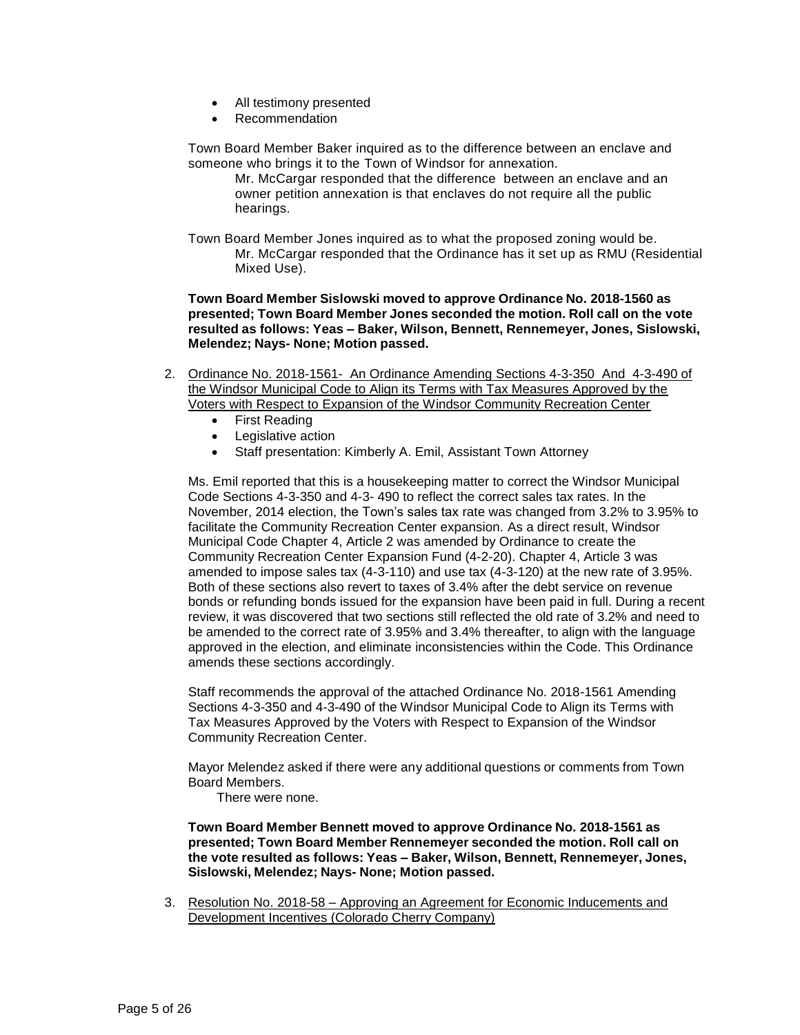- All testimony presented
- Recommendation

Town Board Member Baker inquired as to the difference between an enclave and someone who brings it to the Town of Windsor for annexation.

Mr. McCargar responded that the difference between an enclave and an owner petition annexation is that enclaves do not require all the public hearings.

Town Board Member Jones inquired as to what the proposed zoning would be. Mr. McCargar responded that the Ordinance has it set up as RMU (Residential Mixed Use).

**Town Board Member Sislowski moved to approve Ordinance No. 2018-1560 as presented; Town Board Member Jones seconded the motion. Roll call on the vote resulted as follows: Yeas – Baker, Wilson, Bennett, Rennemeyer, Jones, Sislowski, Melendez; Nays- None; Motion passed.**

- 2. Ordinance No. 2018-1561- An Ordinance Amending Sections 4-3-350 And 4-3-490 of the Windsor Municipal Code to Align its Terms with Tax Measures Approved by the Voters with Respect to Expansion of the Windsor Community Recreation Center
	- First Reading
	- Legislative action
	- Staff presentation: Kimberly A. Emil, Assistant Town Attorney

Ms. Emil reported that this is a housekeeping matter to correct the Windsor Municipal Code Sections 4-3-350 and 4-3- 490 to reflect the correct sales tax rates. In the November, 2014 election, the Town's sales tax rate was changed from 3.2% to 3.95% to facilitate the Community Recreation Center expansion. As a direct result, Windsor Municipal Code Chapter 4, Article 2 was amended by Ordinance to create the Community Recreation Center Expansion Fund (4-2-20). Chapter 4, Article 3 was amended to impose sales tax (4-3-110) and use tax (4-3-120) at the new rate of 3.95%. Both of these sections also revert to taxes of 3.4% after the debt service on revenue bonds or refunding bonds issued for the expansion have been paid in full. During a recent review, it was discovered that two sections still reflected the old rate of 3.2% and need to be amended to the correct rate of 3.95% and 3.4% thereafter, to align with the language approved in the election, and eliminate inconsistencies within the Code. This Ordinance amends these sections accordingly.

Staff recommends the approval of the attached Ordinance No. 2018-1561 Amending Sections 4-3-350 and 4-3-490 of the Windsor Municipal Code to Align its Terms with Tax Measures Approved by the Voters with Respect to Expansion of the Windsor Community Recreation Center.

Mayor Melendez asked if there were any additional questions or comments from Town Board Members.

There were none.

**Town Board Member Bennett moved to approve Ordinance No. 2018-1561 as presented; Town Board Member Rennemeyer seconded the motion. Roll call on the vote resulted as follows: Yeas – Baker, Wilson, Bennett, Rennemeyer, Jones, Sislowski, Melendez; Nays- None; Motion passed.**

3. Resolution No. 2018-58 – Approving an Agreement for Economic Inducements and Development Incentives (Colorado Cherry Company)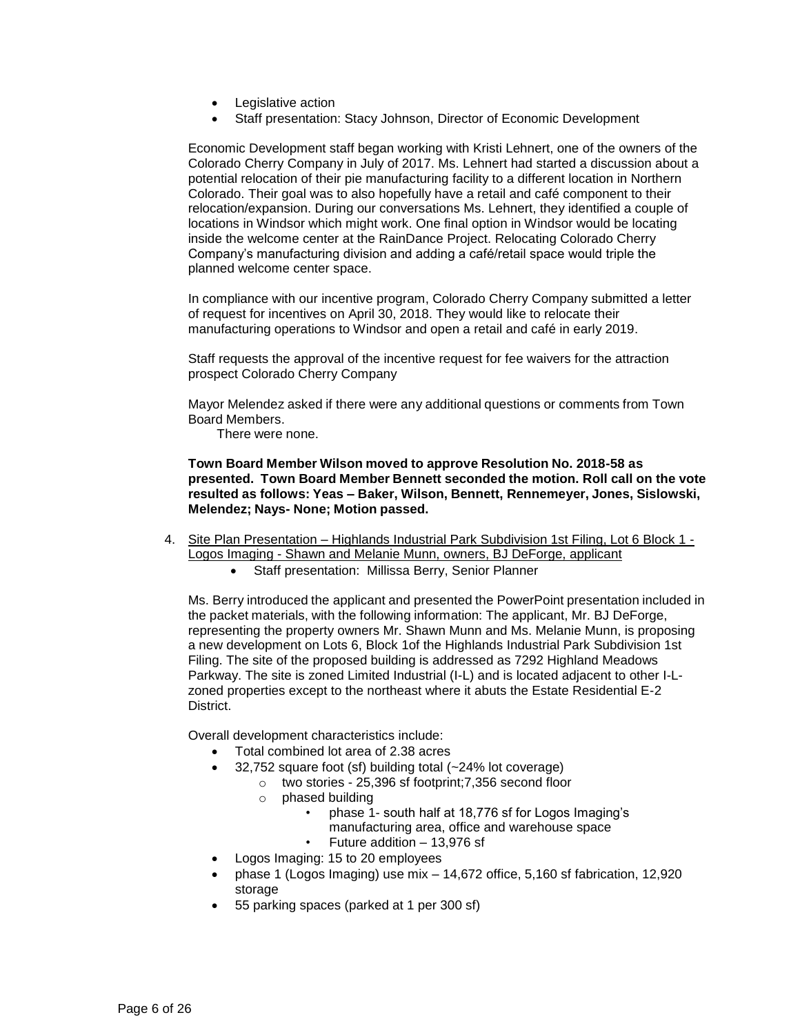- Legislative action
- Staff presentation: Stacy Johnson, Director of Economic Development

Economic Development staff began working with Kristi Lehnert, one of the owners of the Colorado Cherry Company in July of 2017. Ms. Lehnert had started a discussion about a potential relocation of their pie manufacturing facility to a different location in Northern Colorado. Their goal was to also hopefully have a retail and café component to their relocation/expansion. During our conversations Ms. Lehnert, they identified a couple of locations in Windsor which might work. One final option in Windsor would be locating inside the welcome center at the RainDance Project. Relocating Colorado Cherry Company's manufacturing division and adding a café/retail space would triple the planned welcome center space.

In compliance with our incentive program, Colorado Cherry Company submitted a letter of request for incentives on April 30, 2018. They would like to relocate their manufacturing operations to Windsor and open a retail and café in early 2019.

Staff requests the approval of the incentive request for fee waivers for the attraction prospect Colorado Cherry Company

Mayor Melendez asked if there were any additional questions or comments from Town Board Members.

There were none.

**Town Board Member Wilson moved to approve Resolution No. 2018-58 as presented. Town Board Member Bennett seconded the motion. Roll call on the vote resulted as follows: Yeas – Baker, Wilson, Bennett, Rennemeyer, Jones, Sislowski, Melendez; Nays- None; Motion passed.**

- 4. Site Plan Presentation Highlands Industrial Park Subdivision 1st Filing, Lot 6 Block 1 -Logos Imaging - Shawn and Melanie Munn, owners, BJ DeForge, applicant
	- Staff presentation: Millissa Berry, Senior Planner

Ms. Berry introduced the applicant and presented the PowerPoint presentation included in the packet materials, with the following information: The applicant, Mr. BJ DeForge, representing the property owners Mr. Shawn Munn and Ms. Melanie Munn, is proposing a new development on Lots 6, Block 1of the Highlands Industrial Park Subdivision 1st Filing. The site of the proposed building is addressed as 7292 Highland Meadows Parkway. The site is zoned Limited Industrial (I-L) and is located adjacent to other I-Lzoned properties except to the northeast where it abuts the Estate Residential E-2 District.

Overall development characteristics include:

- Total combined lot area of 2.38 acres
- 32,752 square foot (sf) building total (~24% lot coverage)
	- o two stories 25,396 sf footprint;7,356 second floor
		- o phased building
			- phase 1- south half at 18,776 sf for Logos Imaging's
			- manufacturing area, office and warehouse space
			- Future addition 13,976 sf
- Logos Imaging: 15 to 20 employees
- phase 1 (Logos Imaging) use mix 14,672 office, 5,160 sf fabrication, 12,920 storage
- 55 parking spaces (parked at 1 per 300 sf)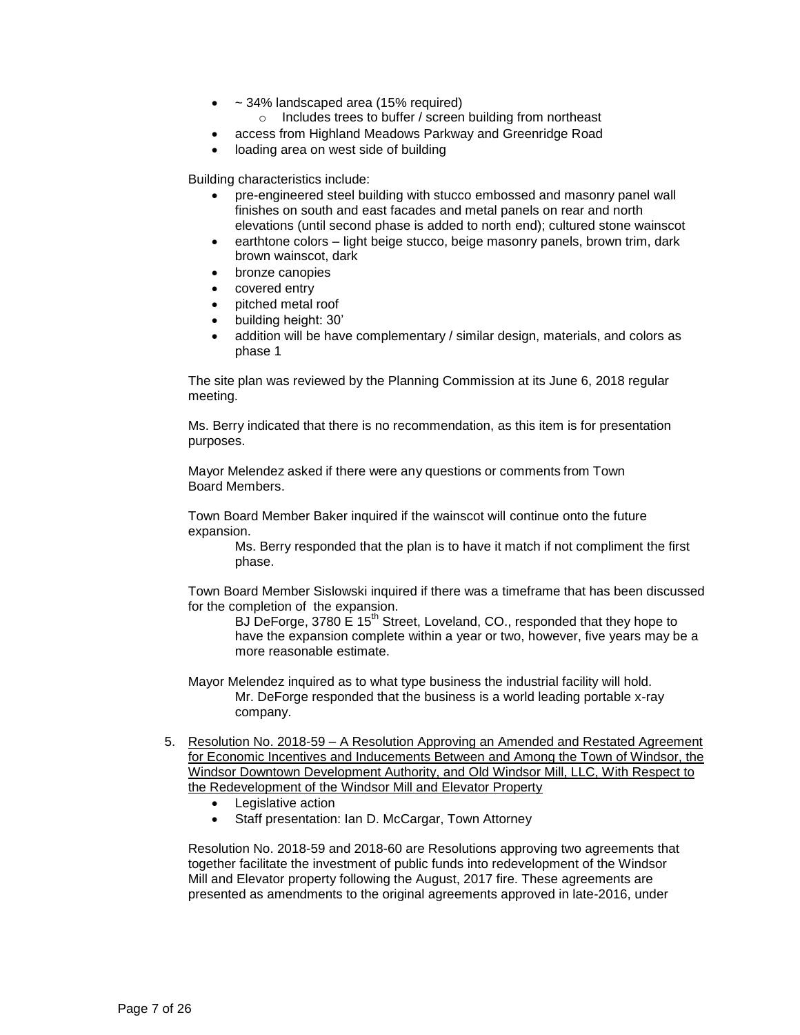- ~ 34% landscaped area (15% required)
	- o Includes trees to buffer / screen building from northeast
- access from Highland Meadows Parkway and Greenridge Road
- loading area on west side of building

Building characteristics include:

- pre-engineered steel building with stucco embossed and masonry panel wall finishes on south and east facades and metal panels on rear and north elevations (until second phase is added to north end); cultured stone wainscot
- earthtone colors light beige stucco, beige masonry panels, brown trim, dark brown wainscot, dark
- bronze canopies
- covered entry
- pitched metal roof
- building height: 30'
- addition will be have complementary / similar design, materials, and colors as phase 1

The site plan was reviewed by the Planning Commission at its June 6, 2018 regular meeting.

Ms. Berry indicated that there is no recommendation, as this item is for presentation purposes.

Mayor Melendez asked if there were any questions or comments from Town Board Members.

Town Board Member Baker inquired if the wainscot will continue onto the future expansion.

Ms. Berry responded that the plan is to have it match if not compliment the first phase.

Town Board Member Sislowski inquired if there was a timeframe that has been discussed for the completion of the expansion.

BJ DeForge, 3780 E 15<sup>th</sup> Street, Loveland, CO., responded that they hope to have the expansion complete within a year or two, however, five years may be a more reasonable estimate.

Mayor Melendez inquired as to what type business the industrial facility will hold. Mr. DeForge responded that the business is a world leading portable x-ray company.

- 5. Resolution No. 2018-59 A Resolution Approving an Amended and Restated Agreement for Economic Incentives and Inducements Between and Among the Town of Windsor, the Windsor Downtown Development Authority, and Old Windsor Mill, LLC, With Respect to the Redevelopment of the Windsor Mill and Elevator Property
	- Legislative action
	- Staff presentation: Ian D. McCargar, Town Attorney

Resolution No. 2018-59 and 2018-60 are Resolutions approving two agreements that together facilitate the investment of public funds into redevelopment of the Windsor Mill and Elevator property following the August, 2017 fire. These agreements are presented as amendments to the original agreements approved in late-2016, under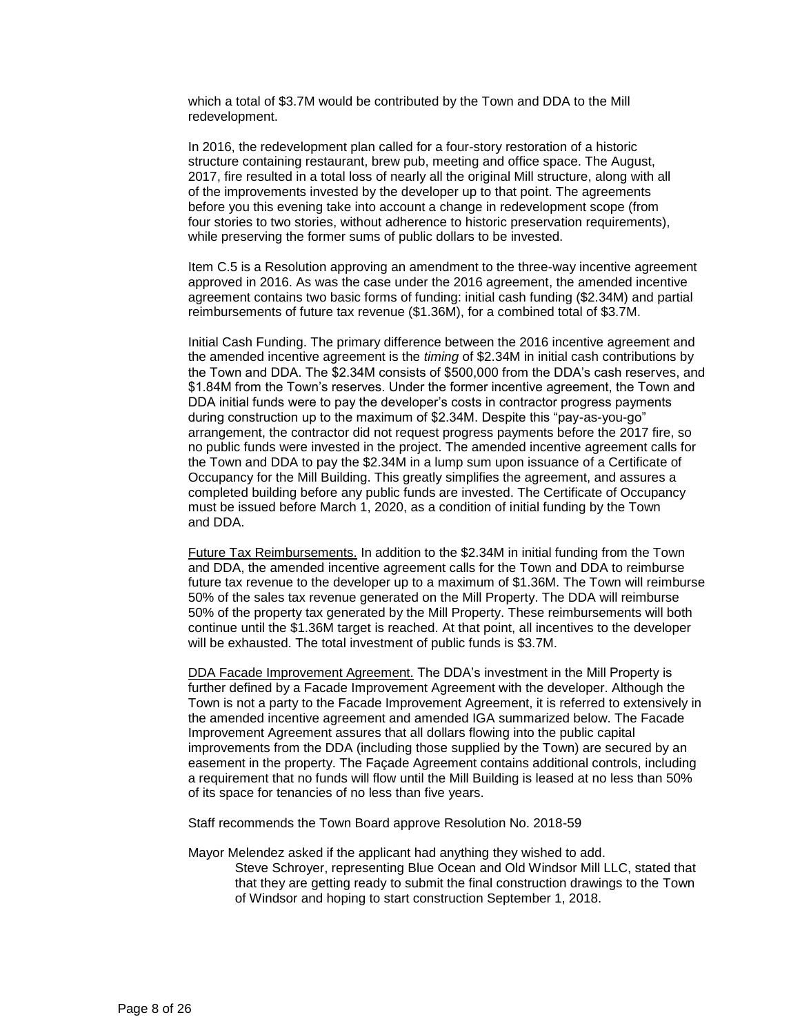which a total of \$3.7M would be contributed by the Town and DDA to the Mill redevelopment.

In 2016, the redevelopment plan called for a four-story restoration of a historic structure containing restaurant, brew pub, meeting and office space. The August, 2017, fire resulted in a total loss of nearly all the original Mill structure, along with all of the improvements invested by the developer up to that point. The agreements before you this evening take into account a change in redevelopment scope (from four stories to two stories, without adherence to historic preservation requirements), while preserving the former sums of public dollars to be invested.

Item C.5 is a Resolution approving an amendment to the three-way incentive agreement approved in 2016. As was the case under the 2016 agreement, the amended incentive agreement contains two basic forms of funding: initial cash funding (\$2.34M) and partial reimbursements of future tax revenue (\$1.36M), for a combined total of \$3.7M.

Initial Cash Funding. The primary difference between the 2016 incentive agreement and the amended incentive agreement is the *timing* of \$2.34M in initial cash contributions by the Town and DDA. The \$2.34M consists of \$500,000 from the DDA's cash reserves, and \$1.84M from the Town's reserves. Under the former incentive agreement, the Town and DDA initial funds were to pay the developer's costs in contractor progress payments during construction up to the maximum of \$2.34M. Despite this "pay-as-you-go" arrangement, the contractor did not request progress payments before the 2017 fire, so no public funds were invested in the project. The amended incentive agreement calls for the Town and DDA to pay the \$2.34M in a lump sum upon issuance of a Certificate of Occupancy for the Mill Building. This greatly simplifies the agreement, and assures a completed building before any public funds are invested. The Certificate of Occupancy must be issued before March 1, 2020, as a condition of initial funding by the Town and DDA.

Future Tax Reimbursements. In addition to the \$2.34M in initial funding from the Town and DDA, the amended incentive agreement calls for the Town and DDA to reimburse future tax revenue to the developer up to a maximum of \$1.36M. The Town will reimburse 50% of the sales tax revenue generated on the Mill Property. The DDA will reimburse 50% of the property tax generated by the Mill Property. These reimbursements will both continue until the \$1.36M target is reached. At that point, all incentives to the developer will be exhausted. The total investment of public funds is \$3.7M.

DDA Facade Improvement Agreement. The DDA's investment in the Mill Property is further defined by a Facade Improvement Agreement with the developer. Although the Town is not a party to the Facade Improvement Agreement, it is referred to extensively in the amended incentive agreement and amended IGA summarized below. The Facade Improvement Agreement assures that all dollars flowing into the public capital improvements from the DDA (including those supplied by the Town) are secured by an easement in the property. The Façade Agreement contains additional controls, including a requirement that no funds will flow until the Mill Building is leased at no less than 50% of its space for tenancies of no less than five years.

Staff recommends the Town Board approve Resolution No. 2018-59

Mayor Melendez asked if the applicant had anything they wished to add. Steve Schroyer, representing Blue Ocean and Old Windsor Mill LLC, stated that that they are getting ready to submit the final construction drawings to the Town of Windsor and hoping to start construction September 1, 2018.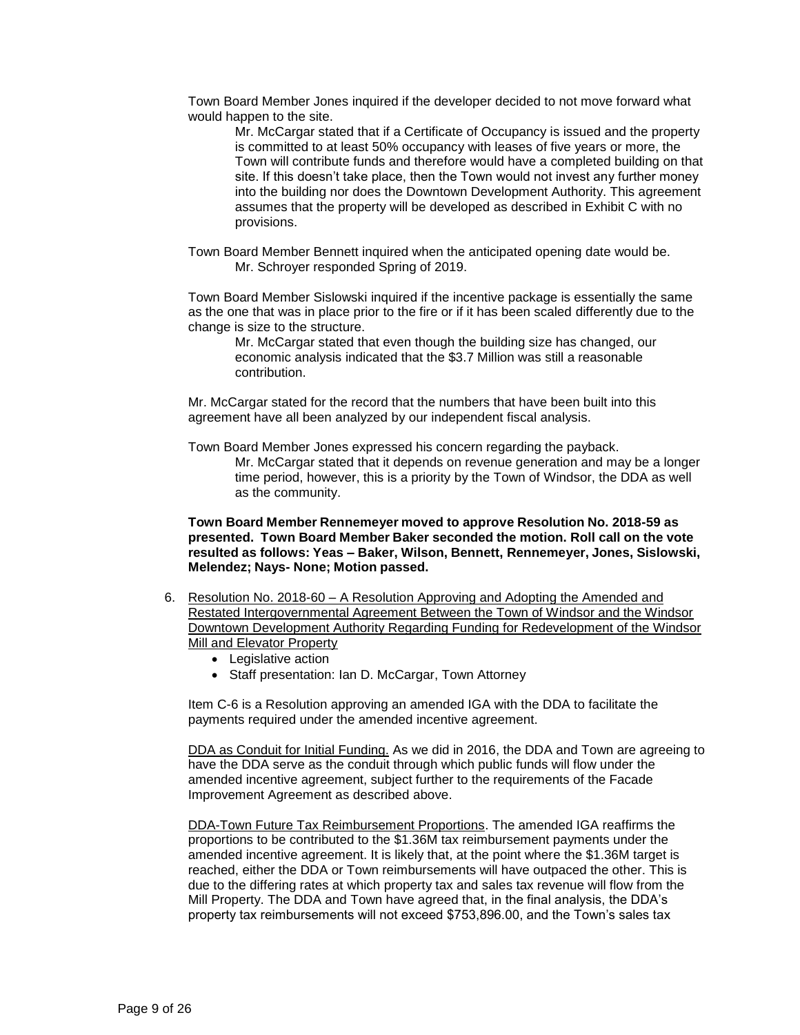Town Board Member Jones inquired if the developer decided to not move forward what would happen to the site.

Mr. McCargar stated that if a Certificate of Occupancy is issued and the property is committed to at least 50% occupancy with leases of five years or more, the Town will contribute funds and therefore would have a completed building on that site. If this doesn't take place, then the Town would not invest any further money into the building nor does the Downtown Development Authority. This agreement assumes that the property will be developed as described in Exhibit C with no provisions.

Town Board Member Bennett inquired when the anticipated opening date would be. Mr. Schroyer responded Spring of 2019.

Town Board Member Sislowski inquired if the incentive package is essentially the same as the one that was in place prior to the fire or if it has been scaled differently due to the change is size to the structure.

Mr. McCargar stated that even though the building size has changed, our economic analysis indicated that the \$3.7 Million was still a reasonable contribution.

Mr. McCargar stated for the record that the numbers that have been built into this agreement have all been analyzed by our independent fiscal analysis.

Town Board Member Jones expressed his concern regarding the payback.

Mr. McCargar stated that it depends on revenue generation and may be a longer time period, however, this is a priority by the Town of Windsor, the DDA as well as the community.

**Town Board Member Rennemeyer moved to approve Resolution No. 2018-59 as presented. Town Board Member Baker seconded the motion. Roll call on the vote resulted as follows: Yeas – Baker, Wilson, Bennett, Rennemeyer, Jones, Sislowski, Melendez; Nays- None; Motion passed.**

- 6. Resolution No. 2018-60 A Resolution Approving and Adopting the Amended and Restated Intergovernmental Agreement Between the Town of Windsor and the Windsor Downtown Development Authority Regarding Funding for Redevelopment of the Windsor Mill and Elevator Property
	- Legislative action
	- Staff presentation: Ian D. McCargar, Town Attorney

Item C-6 is a Resolution approving an amended IGA with the DDA to facilitate the payments required under the amended incentive agreement.

DDA as Conduit for Initial Funding. As we did in 2016, the DDA and Town are agreeing to have the DDA serve as the conduit through which public funds will flow under the amended incentive agreement, subject further to the requirements of the Facade Improvement Agreement as described above.

DDA-Town Future Tax Reimbursement Proportions. The amended IGA reaffirms the proportions to be contributed to the \$1.36M tax reimbursement payments under the amended incentive agreement. It is likely that, at the point where the \$1.36M target is reached, either the DDA or Town reimbursements will have outpaced the other. This is due to the differing rates at which property tax and sales tax revenue will flow from the Mill Property. The DDA and Town have agreed that, in the final analysis, the DDA's property tax reimbursements will not exceed \$753,896.00, and the Town's sales tax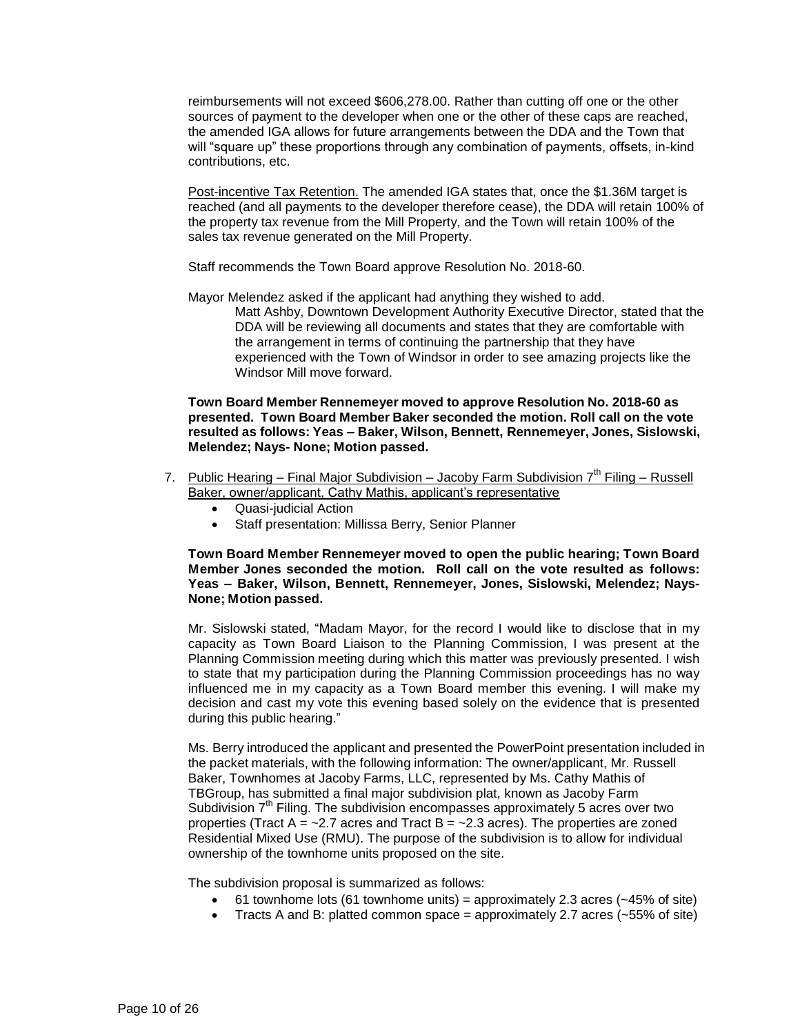reimbursements will not exceed \$606,278.00. Rather than cutting off one or the other sources of payment to the developer when one or the other of these caps are reached, the amended IGA allows for future arrangements between the DDA and the Town that will "square up" these proportions through any combination of payments, offsets, in-kind contributions, etc.

Post-incentive Tax Retention. The amended IGA states that, once the \$1.36M target is reached (and all payments to the developer therefore cease), the DDA will retain 100% of the property tax revenue from the Mill Property, and the Town will retain 100% of the sales tax revenue generated on the Mill Property.

Staff recommends the Town Board approve Resolution No. 2018-60.

Mayor Melendez asked if the applicant had anything they wished to add. Matt Ashby, Downtown Development Authority Executive Director, stated that the DDA will be reviewing all documents and states that they are comfortable with the arrangement in terms of continuing the partnership that they have experienced with the Town of Windsor in order to see amazing projects like the

**Town Board Member Rennemeyer moved to approve Resolution No. 2018-60 as presented. Town Board Member Baker seconded the motion. Roll call on the vote resulted as follows: Yeas – Baker, Wilson, Bennett, Rennemeyer, Jones, Sislowski, Melendez; Nays- None; Motion passed.**

- 7. Public Hearing Final Major Subdivision Jacoby Farm Subdivision  $7<sup>th</sup>$  Filing Russell Baker, owner/applicant, Cathy Mathis, applicant's representative
	- Quasi-judicial Action

Windsor Mill move forward.

Staff presentation: Millissa Berry, Senior Planner

**Town Board Member Rennemeyer moved to open the public hearing; Town Board Member Jones seconded the motion. Roll call on the vote resulted as follows: Yeas – Baker, Wilson, Bennett, Rennemeyer, Jones, Sislowski, Melendez; Nays-None; Motion passed.**

Mr. Sislowski stated, "Madam Mayor, for the record I would like to disclose that in my capacity as Town Board Liaison to the Planning Commission, I was present at the Planning Commission meeting during which this matter was previously presented. I wish to state that my participation during the Planning Commission proceedings has no way influenced me in my capacity as a Town Board member this evening. I will make my decision and cast my vote this evening based solely on the evidence that is presented during this public hearing."

Ms. Berry introduced the applicant and presented the PowerPoint presentation included in the packet materials, with the following information: The owner/applicant, Mr. Russell Baker, Townhomes at Jacoby Farms, LLC, represented by Ms. Cathy Mathis of TBGroup, has submitted a final major subdivision plat, known as Jacoby Farm Subdivision  $7<sup>th</sup>$  Filing. The subdivision encompasses approximately 5 acres over two properties (Tract  $A = -2.7$  acres and Tract  $B = -2.3$  acres). The properties are zoned Residential Mixed Use (RMU). The purpose of the subdivision is to allow for individual ownership of the townhome units proposed on the site.

The subdivision proposal is summarized as follows:

- 61 townhome lots (61 townhome units) = approximately 2.3 acres ( $\sim$ 45% of site)
- Tracts A and B: platted common space  $=$  approximately 2.7 acres ( $\sim$ 55% of site)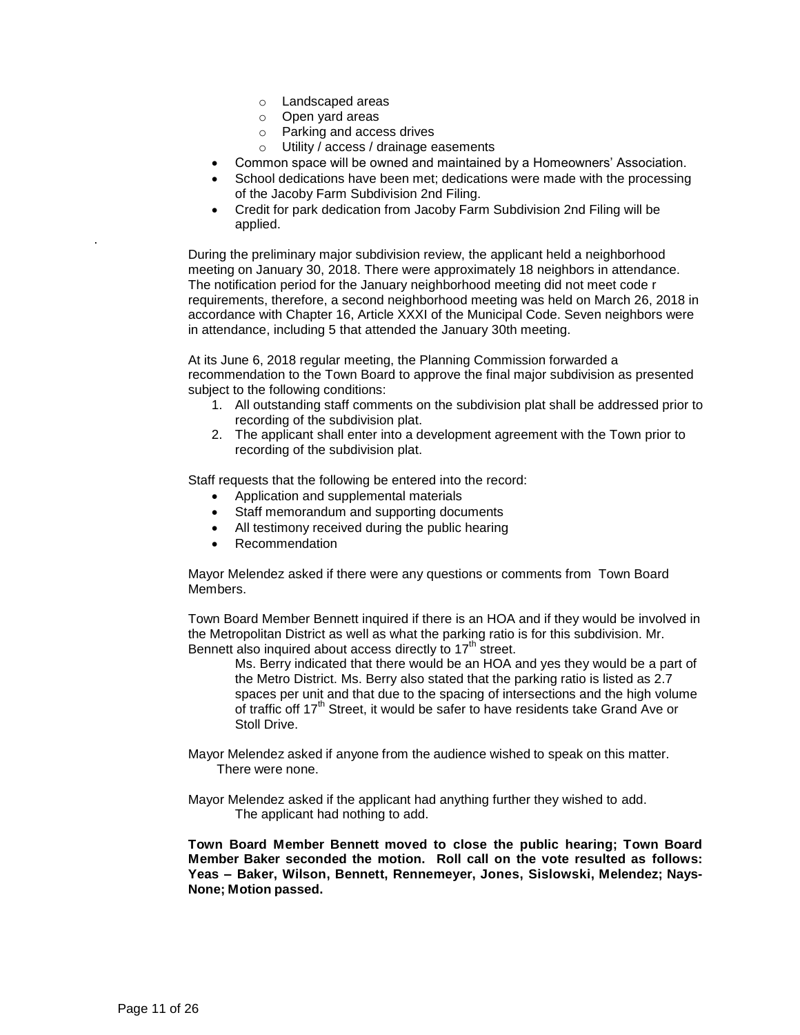- o Landscaped areas
- o Open yard areas
- o Parking and access drives
- o Utility / access / drainage easements
- Common space will be owned and maintained by a Homeowners' Association.
- School dedications have been met; dedications were made with the processing of the Jacoby Farm Subdivision 2nd Filing.
- Credit for park dedication from Jacoby Farm Subdivision 2nd Filing will be applied.

During the preliminary major subdivision review, the applicant held a neighborhood meeting on January 30, 2018. There were approximately 18 neighbors in attendance. The notification period for the January neighborhood meeting did not meet code r requirements, therefore, a second neighborhood meeting was held on March 26, 2018 in accordance with Chapter 16, Article XXXI of the Municipal Code. Seven neighbors were in attendance, including 5 that attended the January 30th meeting.

At its June 6, 2018 regular meeting, the Planning Commission forwarded a recommendation to the Town Board to approve the final major subdivision as presented subject to the following conditions:

- 1. All outstanding staff comments on the subdivision plat shall be addressed prior to recording of the subdivision plat.
- 2. The applicant shall enter into a development agreement with the Town prior to recording of the subdivision plat.

Staff requests that the following be entered into the record:

- Application and supplemental materials
- Staff memorandum and supporting documents
- All testimony received during the public hearing
- Recommendation

Mayor Melendez asked if there were any questions or comments from Town Board Members.

Town Board Member Bennett inquired if there is an HOA and if they would be involved in the Metropolitan District as well as what the parking ratio is for this subdivision. Mr. Bennett also inquired about access directly to  $17<sup>th</sup>$  street.

Ms. Berry indicated that there would be an HOA and yes they would be a part of the Metro District. Ms. Berry also stated that the parking ratio is listed as 2.7 spaces per unit and that due to the spacing of intersections and the high volume of traffic off  $17<sup>th</sup>$  Street, it would be safer to have residents take Grand Ave or Stoll Drive.

- Mayor Melendez asked if anyone from the audience wished to speak on this matter. There were none.
- Mayor Melendez asked if the applicant had anything further they wished to add. The applicant had nothing to add.

**Town Board Member Bennett moved to close the public hearing; Town Board Member Baker seconded the motion. Roll call on the vote resulted as follows: Yeas – Baker, Wilson, Bennett, Rennemeyer, Jones, Sislowski, Melendez; Nays-None; Motion passed.**

.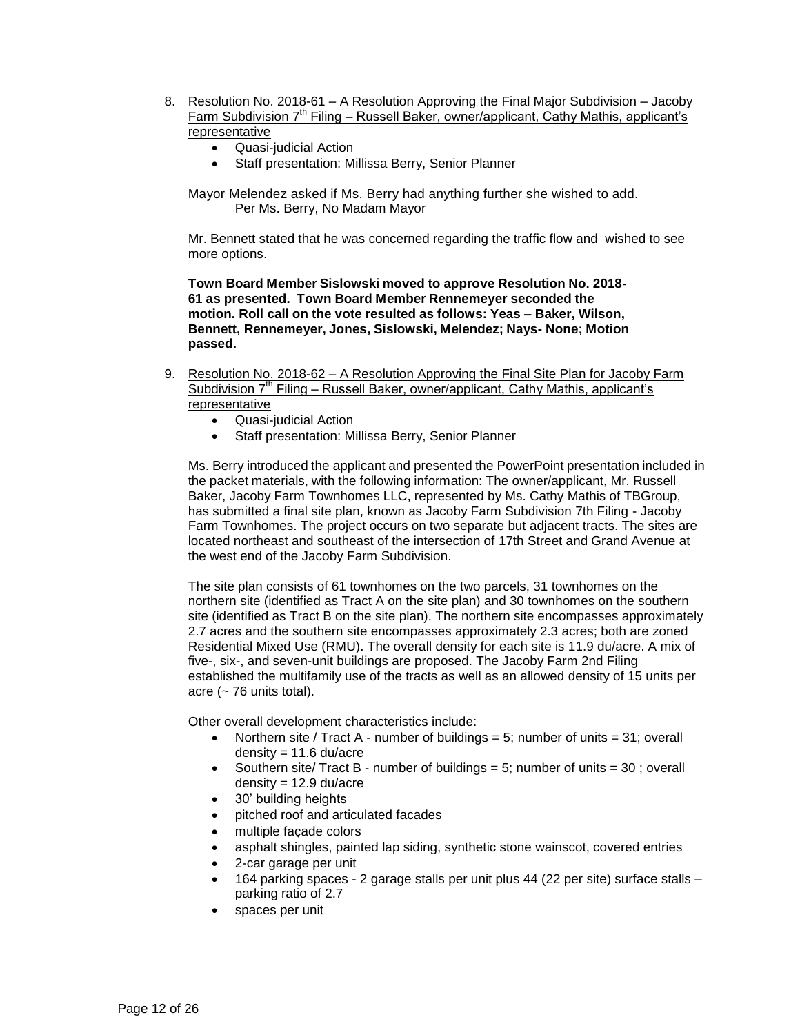- 8. Resolution No. 2018-61 A Resolution Approving the Final Major Subdivision Jacoby Farm Subdivision 7th Filing – Russell Baker, owner/applicant, Cathy Mathis, applicant's representative
	- Quasi-judicial Action
	- Staff presentation: Millissa Berry, Senior Planner

Mayor Melendez asked if Ms. Berry had anything further she wished to add. Per Ms. Berry, No Madam Mayor

Mr. Bennett stated that he was concerned regarding the traffic flow and wished to see more options.

**Town Board Member Sislowski moved to approve Resolution No. 2018- 61 as presented. Town Board Member Rennemeyer seconded the motion. Roll call on the vote resulted as follows: Yeas – Baker, Wilson, Bennett, Rennemeyer, Jones, Sislowski, Melendez; Nays- None; Motion passed.**

- 9. Resolution No. 2018-62 A Resolution Approving the Final Site Plan for Jacoby Farm Subdivision  $7<sup>th</sup>$  Filing – Russell Baker, owner/applicant, Cathy Mathis, applicant's representative
	- Quasi-judicial Action
	- Staff presentation: Millissa Berry, Senior Planner

Ms. Berry introduced the applicant and presented the PowerPoint presentation included in the packet materials, with the following information: The owner/applicant, Mr. Russell Baker, Jacoby Farm Townhomes LLC, represented by Ms. Cathy Mathis of TBGroup, has submitted a final site plan, known as Jacoby Farm Subdivision 7th Filing - Jacoby Farm Townhomes. The project occurs on two separate but adjacent tracts. The sites are located northeast and southeast of the intersection of 17th Street and Grand Avenue at the west end of the Jacoby Farm Subdivision.

The site plan consists of 61 townhomes on the two parcels, 31 townhomes on the northern site (identified as Tract A on the site plan) and 30 townhomes on the southern site (identified as Tract B on the site plan). The northern site encompasses approximately 2.7 acres and the southern site encompasses approximately 2.3 acres; both are zoned Residential Mixed Use (RMU). The overall density for each site is 11.9 du/acre. A mix of five-, six-, and seven-unit buildings are proposed. The Jacoby Farm 2nd Filing established the multifamily use of the tracts as well as an allowed density of 15 units per acre ( $\sim$  76 units total).

Other overall development characteristics include:

- Northern site / Tract A number of buildings = 5; number of units = 31; overall density =  $11.6$  du/acre
- Southern site/ Tract B number of buildings = 5; number of units = 30 ; overall density = 12.9 du/acre
- 30' building heights
- pitched roof and articulated facades
- multiple façade colors
- asphalt shingles, painted lap siding, synthetic stone wainscot, covered entries
- 2-car garage per unit
- 164 parking spaces 2 garage stalls per unit plus 44 (22 per site) surface stalls parking ratio of 2.7
- spaces per unit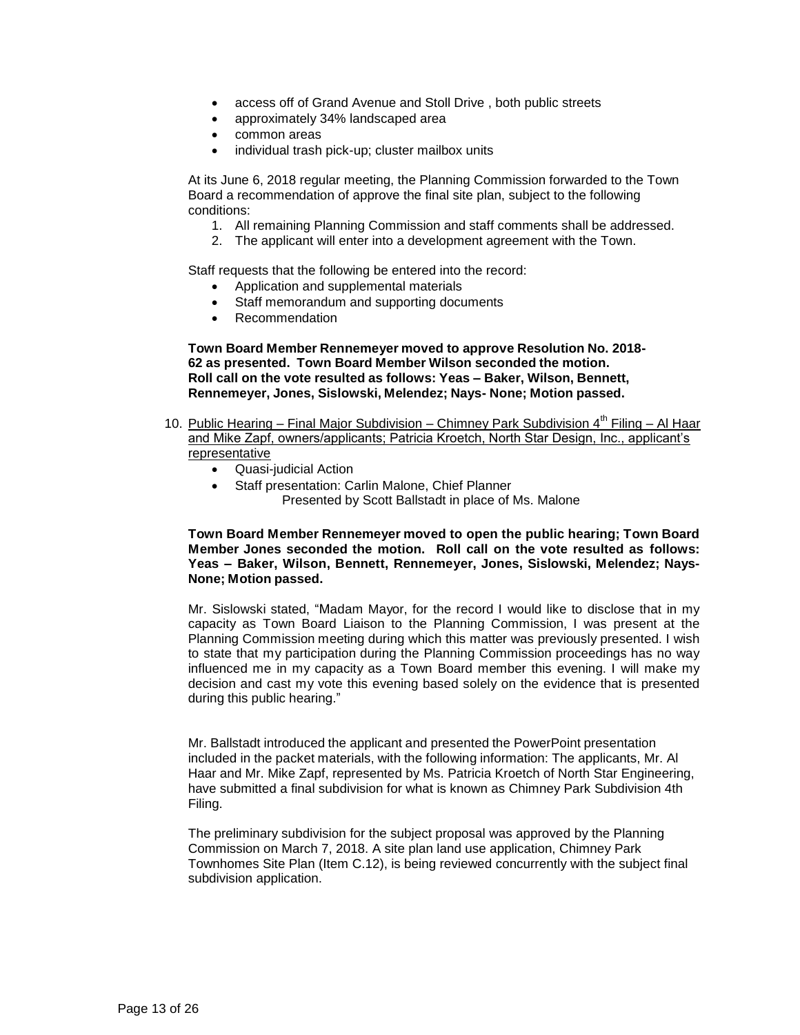- access off of Grand Avenue and Stoll Drive , both public streets
- approximately 34% landscaped area
- common areas
- individual trash pick-up; cluster mailbox units

At its June 6, 2018 regular meeting, the Planning Commission forwarded to the Town Board a recommendation of approve the final site plan, subject to the following conditions:

- 1. All remaining Planning Commission and staff comments shall be addressed.
- 2. The applicant will enter into a development agreement with the Town.

Staff requests that the following be entered into the record:

- Application and supplemental materials
- Staff memorandum and supporting documents
- Recommendation

**Town Board Member Rennemeyer moved to approve Resolution No. 2018- 62 as presented. Town Board Member Wilson seconded the motion. Roll call on the vote resulted as follows: Yeas – Baker, Wilson, Bennett, Rennemeyer, Jones, Sislowski, Melendez; Nays- None; Motion passed.**

- 10. Public Hearing Final Major Subdivision Chimney Park Subdivision 4<sup>th</sup> Filing Al Haar and Mike Zapf, owners/applicants; Patricia Kroetch, North Star Design, Inc., applicant's **representative** 
	- Quasi-judicial Action
	- Staff presentation: Carlin Malone, Chief Planner Presented by Scott Ballstadt in place of Ms. Malone

**Town Board Member Rennemeyer moved to open the public hearing; Town Board Member Jones seconded the motion. Roll call on the vote resulted as follows: Yeas – Baker, Wilson, Bennett, Rennemeyer, Jones, Sislowski, Melendez; Nays-None; Motion passed.**

Mr. Sislowski stated, "Madam Mayor, for the record I would like to disclose that in my capacity as Town Board Liaison to the Planning Commission, I was present at the Planning Commission meeting during which this matter was previously presented. I wish to state that my participation during the Planning Commission proceedings has no way influenced me in my capacity as a Town Board member this evening. I will make my decision and cast my vote this evening based solely on the evidence that is presented during this public hearing."

Mr. Ballstadt introduced the applicant and presented the PowerPoint presentation included in the packet materials, with the following information: The applicants, Mr. Al Haar and Mr. Mike Zapf, represented by Ms. Patricia Kroetch of North Star Engineering, have submitted a final subdivision for what is known as Chimney Park Subdivision 4th Filing.

The preliminary subdivision for the subject proposal was approved by the Planning Commission on March 7, 2018. A site plan land use application, Chimney Park Townhomes Site Plan (Item C.12), is being reviewed concurrently with the subject final subdivision application.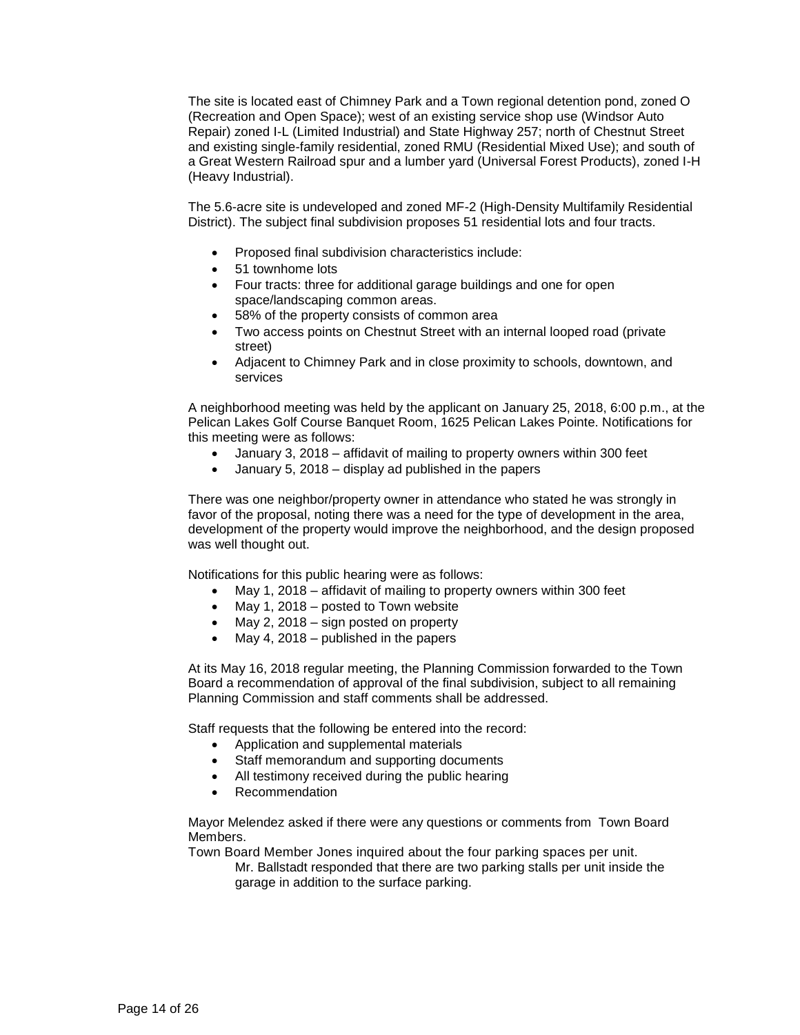The site is located east of Chimney Park and a Town regional detention pond, zoned O (Recreation and Open Space); west of an existing service shop use (Windsor Auto Repair) zoned I-L (Limited Industrial) and State Highway 257; north of Chestnut Street and existing single-family residential, zoned RMU (Residential Mixed Use); and south of a Great Western Railroad spur and a lumber yard (Universal Forest Products), zoned I-H (Heavy Industrial).

The 5.6-acre site is undeveloped and zoned MF-2 (High-Density Multifamily Residential District). The subject final subdivision proposes 51 residential lots and four tracts.

- Proposed final subdivision characteristics include:
- 51 townhome lots
- Four tracts: three for additional garage buildings and one for open space/landscaping common areas.
- 58% of the property consists of common area
- Two access points on Chestnut Street with an internal looped road (private street)
- Adjacent to Chimney Park and in close proximity to schools, downtown, and services

A neighborhood meeting was held by the applicant on January 25, 2018, 6:00 p.m., at the Pelican Lakes Golf Course Banquet Room, 1625 Pelican Lakes Pointe. Notifications for this meeting were as follows:

- January 3, 2018 affidavit of mailing to property owners within 300 feet
- January 5, 2018 display ad published in the papers

There was one neighbor/property owner in attendance who stated he was strongly in favor of the proposal, noting there was a need for the type of development in the area, development of the property would improve the neighborhood, and the design proposed was well thought out.

Notifications for this public hearing were as follows:

- May 1, 2018 affidavit of mailing to property owners within 300 feet
- May 1, 2018 posted to Town website
- $\bullet$  May 2, 2018 sign posted on property
- May 4, 2018 published in the papers

At its May 16, 2018 regular meeting, the Planning Commission forwarded to the Town Board a recommendation of approval of the final subdivision, subject to all remaining Planning Commission and staff comments shall be addressed.

Staff requests that the following be entered into the record:

- Application and supplemental materials
- Staff memorandum and supporting documents
- All testimony received during the public hearing
- Recommendation

Mayor Melendez asked if there were any questions or comments from Town Board Members.

Town Board Member Jones inquired about the four parking spaces per unit. Mr. Ballstadt responded that there are two parking stalls per unit inside the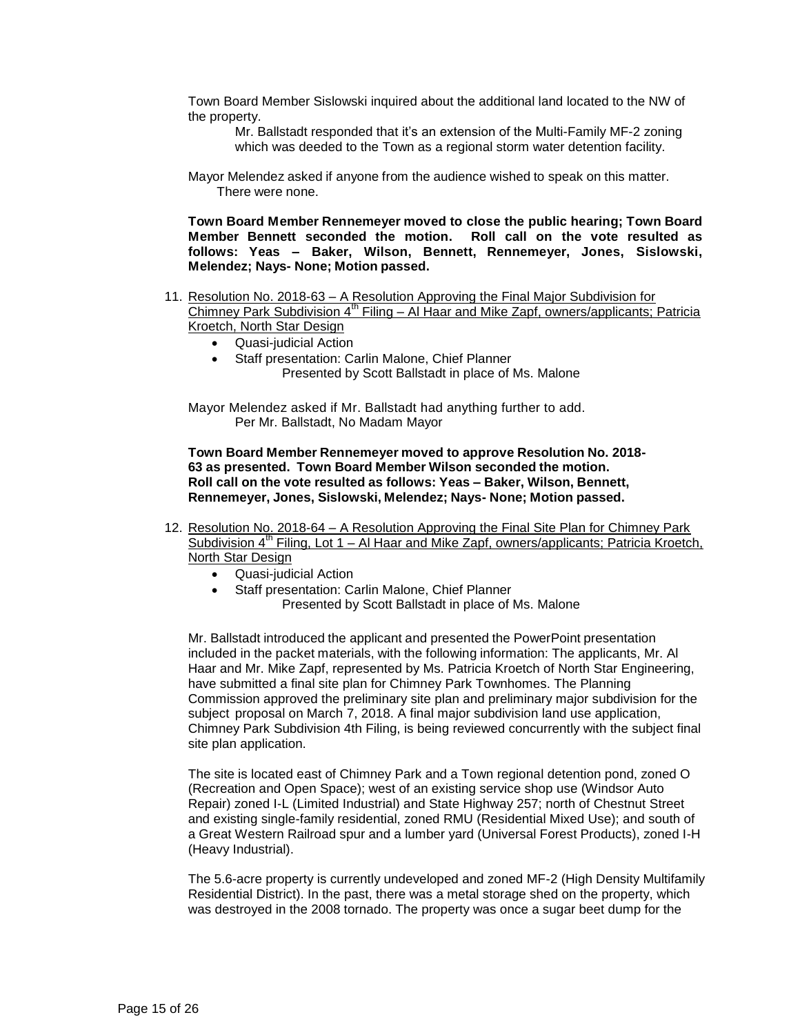Town Board Member Sislowski inquired about the additional land located to the NW of the property.

Mr. Ballstadt responded that it's an extension of the Multi-Family MF-2 zoning which was deeded to the Town as a regional storm water detention facility.

Mayor Melendez asked if anyone from the audience wished to speak on this matter. There were none.

**Town Board Member Rennemeyer moved to close the public hearing; Town Board Member Bennett seconded the motion. Roll call on the vote resulted as follows: Yeas – Baker, Wilson, Bennett, Rennemeyer, Jones, Sislowski, Melendez; Nays- None; Motion passed.**

- 11. Resolution No. 2018-63 A Resolution Approving the Final Major Subdivision for  $\overline{\text{Chimney}}$  Park Subdivision 4<sup>th</sup> Filing – Al Haar and Mike Zapf, owners/applicants; Patricia Kroetch, North Star Design
	- Quasi-judicial Action
	- Staff presentation: Carlin Malone, Chief Planner Presented by Scott Ballstadt in place of Ms. Malone

Mayor Melendez asked if Mr. Ballstadt had anything further to add. Per Mr. Ballstadt, No Madam Mayor

**Town Board Member Rennemeyer moved to approve Resolution No. 2018- 63 as presented. Town Board Member Wilson seconded the motion. Roll call on the vote resulted as follows: Yeas – Baker, Wilson, Bennett, Rennemeyer, Jones, Sislowski, Melendez; Nays- None; Motion passed.**

- 12. Resolution No. 2018-64 A Resolution Approving the Final Site Plan for Chimney Park Subdivision  $4<sup>th</sup>$  Filing, Lot 1 – Al Haar and Mike Zapf, owners/applicants; Patricia Kroetch, North Star Design
	- Quasi-judicial Action
		- Staff presentation: Carlin Malone, Chief Planner Presented by Scott Ballstadt in place of Ms. Malone

Mr. Ballstadt introduced the applicant and presented the PowerPoint presentation included in the packet materials, with the following information: The applicants, Mr. Al Haar and Mr. Mike Zapf, represented by Ms. Patricia Kroetch of North Star Engineering, have submitted a final site plan for Chimney Park Townhomes. The Planning Commission approved the preliminary site plan and preliminary major subdivision for the subject proposal on March 7, 2018. A final major subdivision land use application, Chimney Park Subdivision 4th Filing, is being reviewed concurrently with the subject final site plan application.

The site is located east of Chimney Park and a Town regional detention pond, zoned O (Recreation and Open Space); west of an existing service shop use (Windsor Auto Repair) zoned I-L (Limited Industrial) and State Highway 257; north of Chestnut Street and existing single-family residential, zoned RMU (Residential Mixed Use); and south of a Great Western Railroad spur and a lumber yard (Universal Forest Products), zoned I-H (Heavy Industrial).

The 5.6-acre property is currently undeveloped and zoned MF-2 (High Density Multifamily Residential District). In the past, there was a metal storage shed on the property, which was destroyed in the 2008 tornado. The property was once a sugar beet dump for the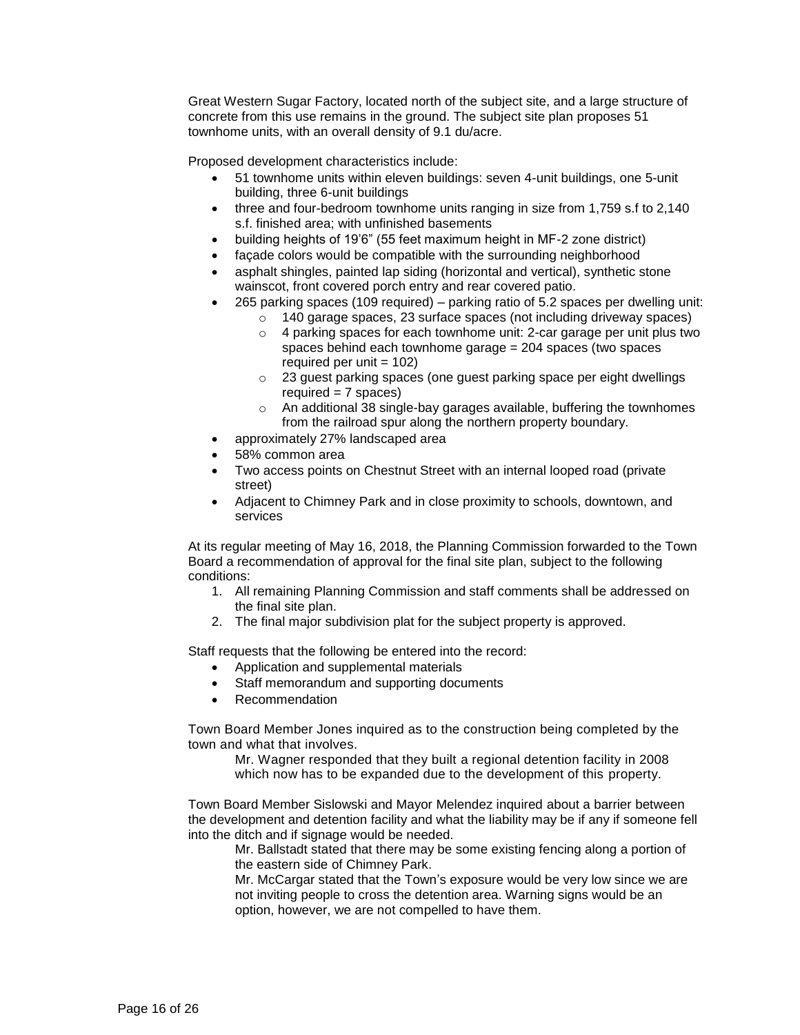Great Western Sugar Factory, located north of the subject site, and a large structure of concrete from this use remains in the ground. The subject site plan proposes 51 townhome units, with an overall density of 9.1 du/acre.

Proposed development characteristics include:

- 51 townhome units within eleven buildings: seven 4-unit buildings, one 5-unit building, three 6-unit buildings
- three and four-bedroom townhome units ranging in size from 1,759 s.f to 2,140 s.f. finished area; with unfinished basements
- building heights of 19'6" (55 feet maximum height in MF-2 zone district)
- façade colors would be compatible with the surrounding neighborhood
- asphalt shingles, painted lap siding (horizontal and vertical), synthetic stone wainscot, front covered porch entry and rear covered patio.
- 265 parking spaces (109 required) parking ratio of 5.2 spaces per dwelling unit:
	- o 140 garage spaces, 23 surface spaces (not including driveway spaces)
	- o 4 parking spaces for each townhome unit: 2-car garage per unit plus two spaces behind each townhome garage = 204 spaces (two spaces required per unit  $= 102$ )
	- o 23 guest parking spaces (one guest parking space per eight dwellings required  $= 7$  spaces)
	- o An additional 38 single-bay garages available, buffering the townhomes from the railroad spur along the northern property boundary.
- approximately 27% landscaped area
- 58% common area
- Two access points on Chestnut Street with an internal looped road (private street)
- Adjacent to Chimney Park and in close proximity to schools, downtown, and services

At its regular meeting of May 16, 2018, the Planning Commission forwarded to the Town Board a recommendation of approval for the final site plan, subject to the following conditions:

- 1. All remaining Planning Commission and staff comments shall be addressed on the final site plan.
- 2. The final major subdivision plat for the subject property is approved.

Staff requests that the following be entered into the record:

- Application and supplemental materials
- Staff memorandum and supporting documents
- Recommendation

Town Board Member Jones inquired as to the construction being completed by the town and what that involves.

Mr. Wagner responded that they built a regional detention facility in 2008 which now has to be expanded due to the development of this property.

Town Board Member Sislowski and Mayor Melendez inquired about a barrier between the development and detention facility and what the liability may be if any if someone fell into the ditch and if signage would be needed.

Mr. Ballstadt stated that there may be some existing fencing along a portion of the eastern side of Chimney Park.

Mr. McCargar stated that the Town's exposure would be very low since we are not inviting people to cross the detention area. Warning signs would be an option, however, we are not compelled to have them.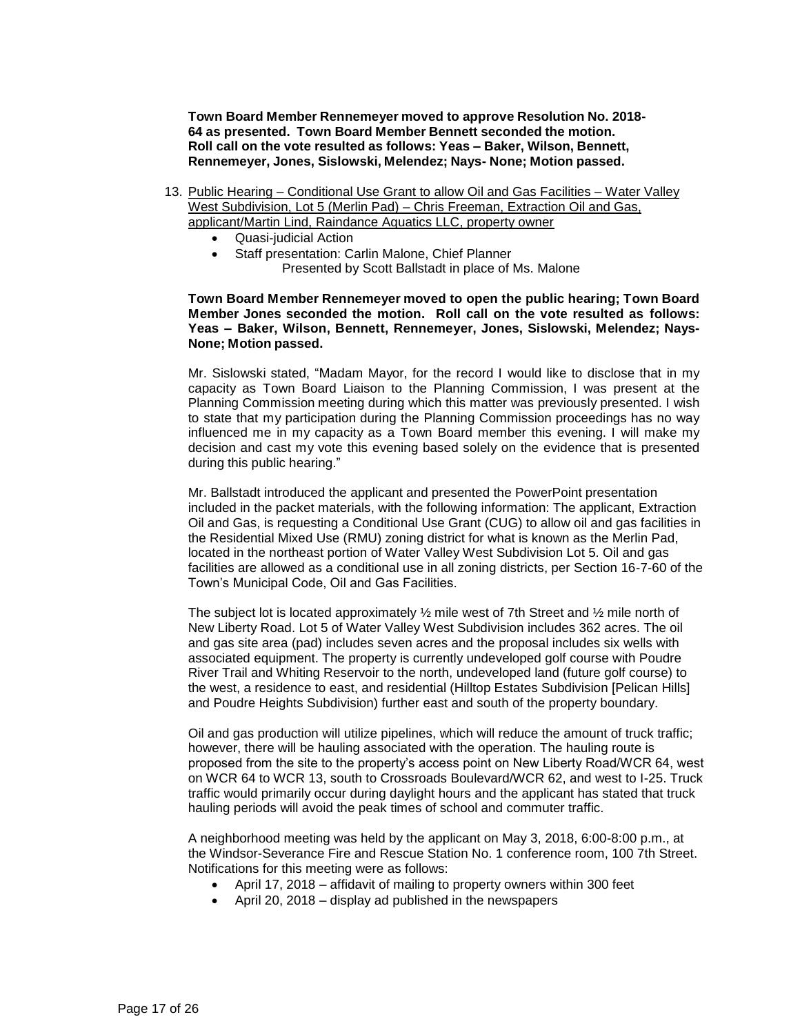**Town Board Member Rennemeyer moved to approve Resolution No. 2018- 64 as presented. Town Board Member Bennett seconded the motion. Roll call on the vote resulted as follows: Yeas – Baker, Wilson, Bennett, Rennemeyer, Jones, Sislowski, Melendez; Nays- None; Motion passed.**

- 13. Public Hearing Conditional Use Grant to allow Oil and Gas Facilities Water Valley West Subdivision, Lot 5 (Merlin Pad) – Chris Freeman, Extraction Oil and Gas, applicant/Martin Lind, Raindance Aquatics LLC, property owner
	- Quasi-judicial Action
	- Staff presentation: Carlin Malone, Chief Planner Presented by Scott Ballstadt in place of Ms. Malone

#### **Town Board Member Rennemeyer moved to open the public hearing; Town Board Member Jones seconded the motion. Roll call on the vote resulted as follows: Yeas – Baker, Wilson, Bennett, Rennemeyer, Jones, Sislowski, Melendez; Nays-None; Motion passed.**

Mr. Sislowski stated, "Madam Mayor, for the record I would like to disclose that in my capacity as Town Board Liaison to the Planning Commission, I was present at the Planning Commission meeting during which this matter was previously presented. I wish to state that my participation during the Planning Commission proceedings has no way influenced me in my capacity as a Town Board member this evening. I will make my decision and cast my vote this evening based solely on the evidence that is presented during this public hearing."

Mr. Ballstadt introduced the applicant and presented the PowerPoint presentation included in the packet materials, with the following information: The applicant, Extraction Oil and Gas, is requesting a Conditional Use Grant (CUG) to allow oil and gas facilities in the Residential Mixed Use (RMU) zoning district for what is known as the Merlin Pad, located in the northeast portion of Water Valley West Subdivision Lot 5. Oil and gas facilities are allowed as a conditional use in all zoning districts, per Section 16-7-60 of the Town's Municipal Code, Oil and Gas Facilities.

The subject lot is located approximately  $\frac{1}{2}$  mile west of 7th Street and  $\frac{1}{2}$  mile north of New Liberty Road. Lot 5 of Water Valley West Subdivision includes 362 acres. The oil and gas site area (pad) includes seven acres and the proposal includes six wells with associated equipment. The property is currently undeveloped golf course with Poudre River Trail and Whiting Reservoir to the north, undeveloped land (future golf course) to the west, a residence to east, and residential (Hilltop Estates Subdivision [Pelican Hills] and Poudre Heights Subdivision) further east and south of the property boundary.

Oil and gas production will utilize pipelines, which will reduce the amount of truck traffic; however, there will be hauling associated with the operation. The hauling route is proposed from the site to the property's access point on New Liberty Road/WCR 64, west on WCR 64 to WCR 13, south to Crossroads Boulevard/WCR 62, and west to I-25. Truck traffic would primarily occur during daylight hours and the applicant has stated that truck hauling periods will avoid the peak times of school and commuter traffic.

A neighborhood meeting was held by the applicant on May 3, 2018, 6:00-8:00 p.m., at the Windsor-Severance Fire and Rescue Station No. 1 conference room, 100 7th Street. Notifications for this meeting were as follows:

- April 17, 2018 affidavit of mailing to property owners within 300 feet
- April 20, 2018 display ad published in the newspapers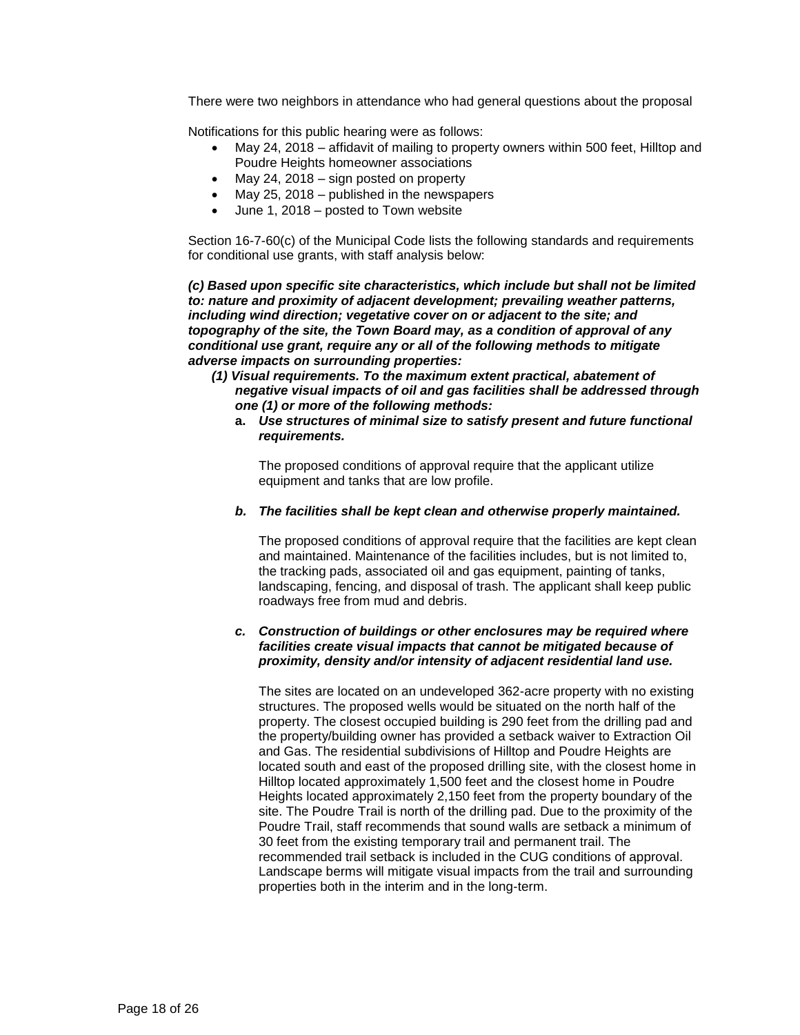There were two neighbors in attendance who had general questions about the proposal

Notifications for this public hearing were as follows:

- May 24, 2018 affidavit of mailing to property owners within 500 feet, Hilltop and Poudre Heights homeowner associations
- May 24, 2018 sign posted on property
- May 25, 2018 published in the newspapers
- June 1, 2018 posted to Town website

Section 16-7-60(c) of the Municipal Code lists the following standards and requirements for conditional use grants, with staff analysis below:

*(c) Based upon specific site characteristics, which include but shall not be limited to: nature and proximity of adjacent development; prevailing weather patterns, including wind direction; vegetative cover on or adjacent to the site; and topography of the site, the Town Board may, as a condition of approval of any conditional use grant, require any or all of the following methods to mitigate adverse impacts on surrounding properties:* 

- *(1) Visual requirements. To the maximum extent practical, abatement of negative visual impacts of oil and gas facilities shall be addressed through one (1) or more of the following methods:* 
	- **a.** *Use structures of minimal size to satisfy present and future functional requirements.*

The proposed conditions of approval require that the applicant utilize equipment and tanks that are low profile.

#### *b. The facilities shall be kept clean and otherwise properly maintained.*

The proposed conditions of approval require that the facilities are kept clean and maintained. Maintenance of the facilities includes, but is not limited to, the tracking pads, associated oil and gas equipment, painting of tanks, landscaping, fencing, and disposal of trash. The applicant shall keep public roadways free from mud and debris.

#### *c. Construction of buildings or other enclosures may be required where facilities create visual impacts that cannot be mitigated because of proximity, density and/or intensity of adjacent residential land use.*

The sites are located on an undeveloped 362-acre property with no existing structures. The proposed wells would be situated on the north half of the property. The closest occupied building is 290 feet from the drilling pad and the property/building owner has provided a setback waiver to Extraction Oil and Gas. The residential subdivisions of Hilltop and Poudre Heights are located south and east of the proposed drilling site, with the closest home in Hilltop located approximately 1,500 feet and the closest home in Poudre Heights located approximately 2,150 feet from the property boundary of the site. The Poudre Trail is north of the drilling pad. Due to the proximity of the Poudre Trail, staff recommends that sound walls are setback a minimum of 30 feet from the existing temporary trail and permanent trail. The recommended trail setback is included in the CUG conditions of approval. Landscape berms will mitigate visual impacts from the trail and surrounding properties both in the interim and in the long-term.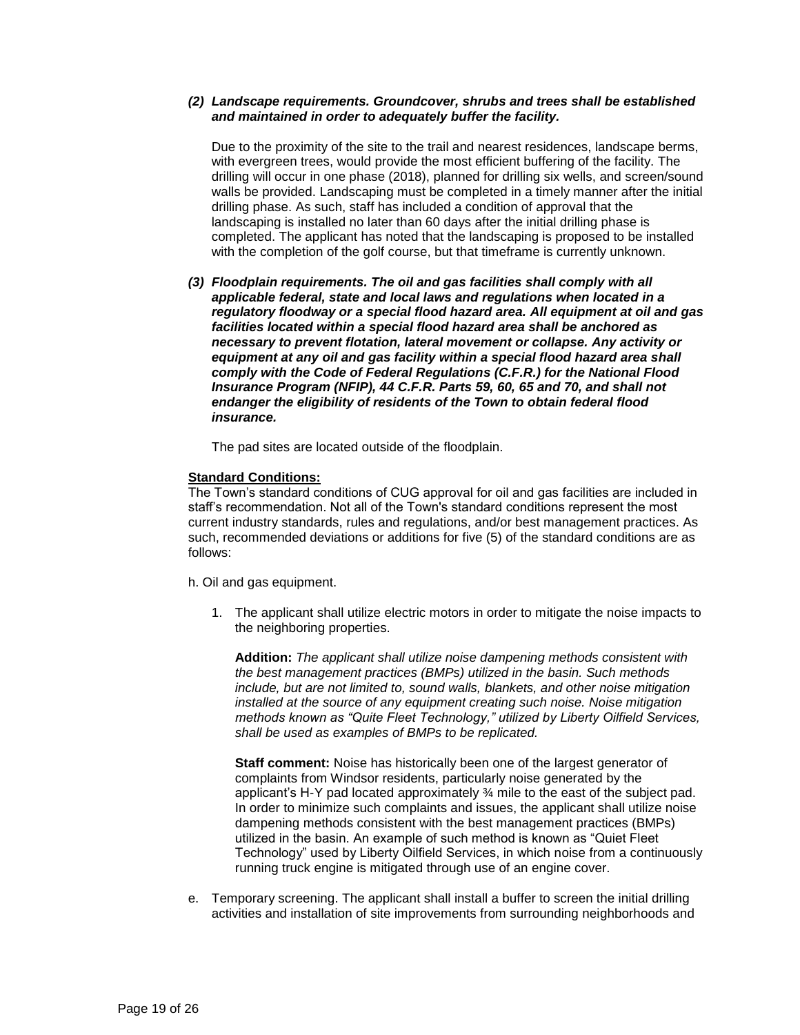### *(2) Landscape requirements. Groundcover, shrubs and trees shall be established and maintained in order to adequately buffer the facility.*

Due to the proximity of the site to the trail and nearest residences, landscape berms, with evergreen trees, would provide the most efficient buffering of the facility. The drilling will occur in one phase (2018), planned for drilling six wells, and screen/sound walls be provided. Landscaping must be completed in a timely manner after the initial drilling phase. As such, staff has included a condition of approval that the landscaping is installed no later than 60 days after the initial drilling phase is completed. The applicant has noted that the landscaping is proposed to be installed with the completion of the golf course, but that timeframe is currently unknown.

*(3) Floodplain requirements. The oil and gas facilities shall comply with all applicable federal, state and local laws and regulations when located in a regulatory floodway or a special flood hazard area. All equipment at oil and gas facilities located within a special flood hazard area shall be anchored as necessary to prevent flotation, lateral movement or collapse. Any activity or equipment at any oil and gas facility within a special flood hazard area shall comply with the Code of Federal Regulations (C.F.R.) for the National Flood Insurance Program (NFIP), 44 C.F.R. Parts 59, 60, 65 and 70, and shall not endanger the eligibility of residents of the Town to obtain federal flood insurance.* 

The pad sites are located outside of the floodplain.

#### **Standard Conditions:**

The Town's standard conditions of CUG approval for oil and gas facilities are included in staff's recommendation. Not all of the Town's standard conditions represent the most current industry standards, rules and regulations, and/or best management practices. As such, recommended deviations or additions for five (5) of the standard conditions are as follows:

- h. Oil and gas equipment.
	- 1. The applicant shall utilize electric motors in order to mitigate the noise impacts to the neighboring properties.

**Addition:** *The applicant shall utilize noise dampening methods consistent with the best management practices (BMPs) utilized in the basin. Such methods include, but are not limited to, sound walls, blankets, and other noise mitigation installed at the source of any equipment creating such noise. Noise mitigation methods known as "Quite Fleet Technology," utilized by Liberty Oilfield Services, shall be used as examples of BMPs to be replicated.* 

**Staff comment:** Noise has historically been one of the largest generator of complaints from Windsor residents, particularly noise generated by the applicant's H-Y pad located approximately ¾ mile to the east of the subject pad. In order to minimize such complaints and issues, the applicant shall utilize noise dampening methods consistent with the best management practices (BMPs) utilized in the basin. An example of such method is known as "Quiet Fleet Technology" used by Liberty Oilfield Services, in which noise from a continuously running truck engine is mitigated through use of an engine cover.

e. Temporary screening. The applicant shall install a buffer to screen the initial drilling activities and installation of site improvements from surrounding neighborhoods and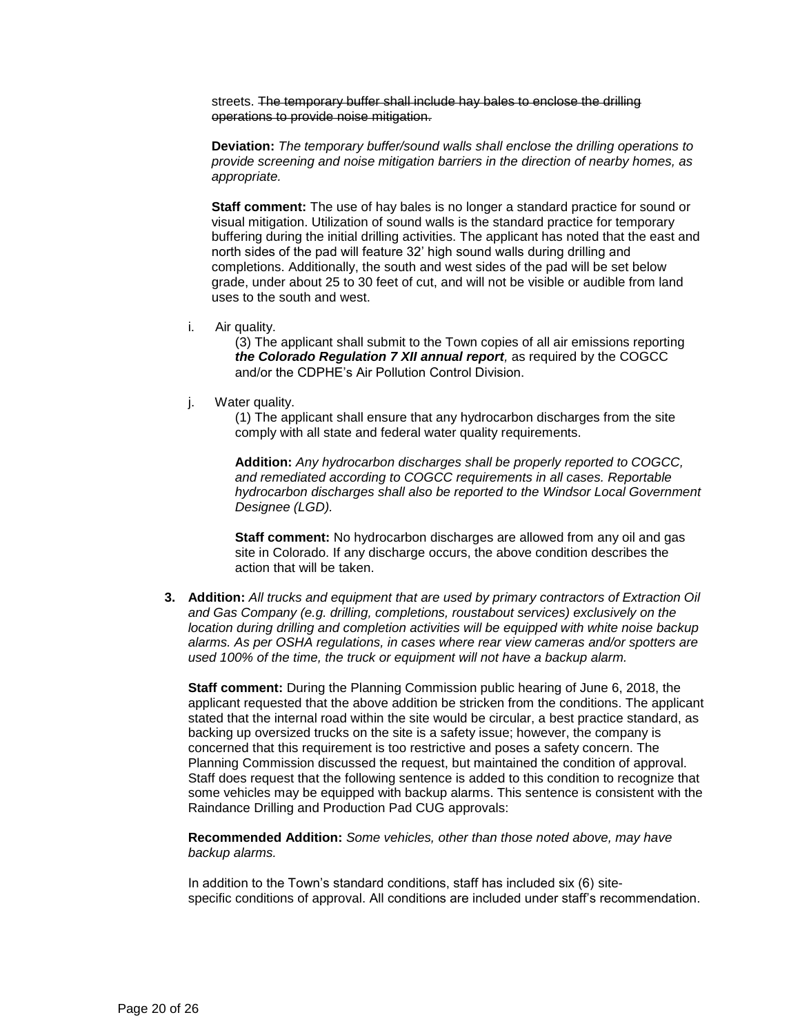streets. The temporary buffer shall include hay bales to enclose the drilling operations to provide noise mitigation.

**Deviation:** *The temporary buffer/sound walls shall enclose the drilling operations to provide screening and noise mitigation barriers in the direction of nearby homes, as appropriate.*

**Staff comment:** The use of hay bales is no longer a standard practice for sound or visual mitigation. Utilization of sound walls is the standard practice for temporary buffering during the initial drilling activities. The applicant has noted that the east and north sides of the pad will feature 32' high sound walls during drilling and completions. Additionally, the south and west sides of the pad will be set below grade, under about 25 to 30 feet of cut, and will not be visible or audible from land uses to the south and west.

i. Air quality.

(3) The applicant shall submit to the Town copies of all air emissions reporting *the Colorado Regulation 7 XII annual report,* as required by the COGCC and/or the CDPHE's Air Pollution Control Division.

j. Water quality.

(1) The applicant shall ensure that any hydrocarbon discharges from the site comply with all state and federal water quality requirements.

**Addition:** *Any hydrocarbon discharges shall be properly reported to COGCC, and remediated according to COGCC requirements in all cases. Reportable hydrocarbon discharges shall also be reported to the Windsor Local Government Designee (LGD).*

**Staff comment:** No hydrocarbon discharges are allowed from any oil and gas site in Colorado. If any discharge occurs, the above condition describes the action that will be taken.

**3. Addition:** *All trucks and equipment that are used by primary contractors of Extraction Oil and Gas Company (e.g. drilling, completions, roustabout services) exclusively on the location during drilling and completion activities will be equipped with white noise backup alarms. As per OSHA regulations, in cases where rear view cameras and/or spotters are used 100% of the time, the truck or equipment will not have a backup alarm.*

**Staff comment:** During the Planning Commission public hearing of June 6, 2018, the applicant requested that the above addition be stricken from the conditions. The applicant stated that the internal road within the site would be circular, a best practice standard, as backing up oversized trucks on the site is a safety issue; however, the company is concerned that this requirement is too restrictive and poses a safety concern. The Planning Commission discussed the request, but maintained the condition of approval. Staff does request that the following sentence is added to this condition to recognize that some vehicles may be equipped with backup alarms. This sentence is consistent with the Raindance Drilling and Production Pad CUG approvals:

**Recommended Addition:** *Some vehicles, other than those noted above, may have backup alarms.*

In addition to the Town's standard conditions, staff has included six (6) sitespecific conditions of approval. All conditions are included under staff's recommendation.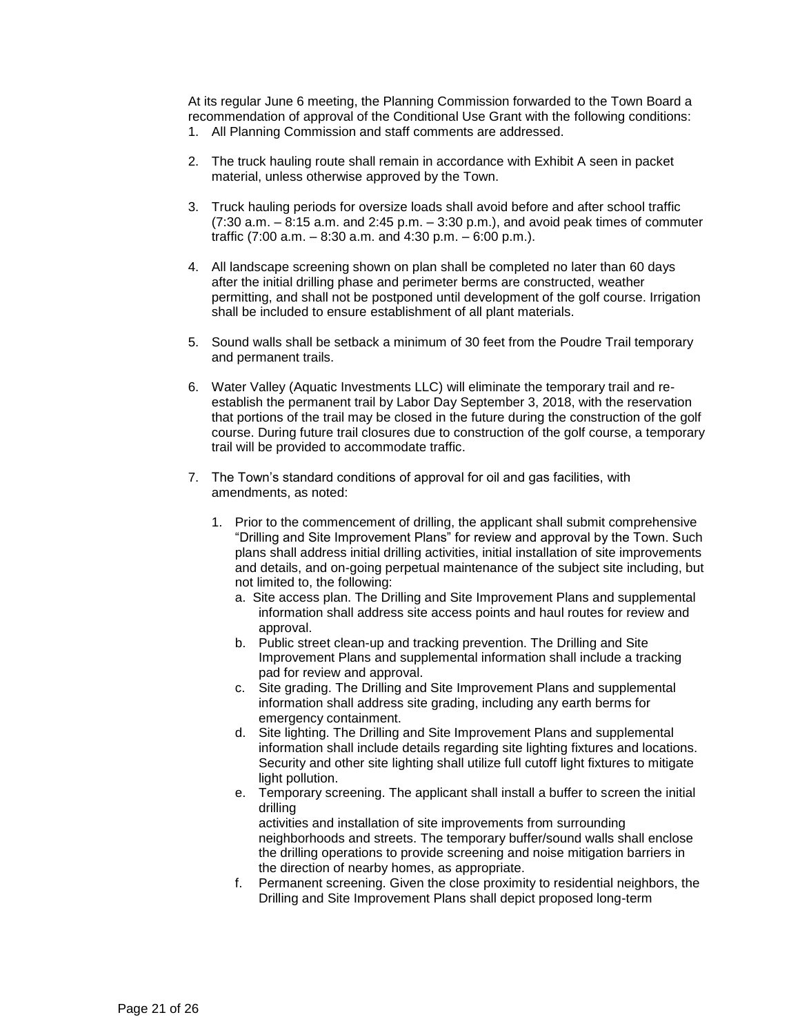At its regular June 6 meeting, the Planning Commission forwarded to the Town Board a recommendation of approval of the Conditional Use Grant with the following conditions: 1. All Planning Commission and staff comments are addressed.

- 2. The truck hauling route shall remain in accordance with Exhibit A seen in packet material, unless otherwise approved by the Town.
- 3. Truck hauling periods for oversize loads shall avoid before and after school traffic (7:30 a.m. – 8:15 a.m. and 2:45 p.m. – 3:30 p.m.), and avoid peak times of commuter traffic (7:00 a.m. – 8:30 a.m. and 4:30 p.m. – 6:00 p.m.).
- 4. All landscape screening shown on plan shall be completed no later than 60 days after the initial drilling phase and perimeter berms are constructed, weather permitting, and shall not be postponed until development of the golf course. Irrigation shall be included to ensure establishment of all plant materials.
- 5. Sound walls shall be setback a minimum of 30 feet from the Poudre Trail temporary and permanent trails.
- 6. Water Valley (Aquatic Investments LLC) will eliminate the temporary trail and reestablish the permanent trail by Labor Day September 3, 2018, with the reservation that portions of the trail may be closed in the future during the construction of the golf course. During future trail closures due to construction of the golf course, a temporary trail will be provided to accommodate traffic.
- 7. The Town's standard conditions of approval for oil and gas facilities, with amendments, as noted:
	- 1. Prior to the commencement of drilling, the applicant shall submit comprehensive "Drilling and Site Improvement Plans" for review and approval by the Town. Such plans shall address initial drilling activities, initial installation of site improvements and details, and on-going perpetual maintenance of the subject site including, but not limited to, the following:
		- a. Site access plan. The Drilling and Site Improvement Plans and supplemental information shall address site access points and haul routes for review and approval.
		- b. Public street clean-up and tracking prevention. The Drilling and Site Improvement Plans and supplemental information shall include a tracking pad for review and approval.
		- c. Site grading. The Drilling and Site Improvement Plans and supplemental information shall address site grading, including any earth berms for emergency containment.
		- d. Site lighting. The Drilling and Site Improvement Plans and supplemental information shall include details regarding site lighting fixtures and locations. Security and other site lighting shall utilize full cutoff light fixtures to mitigate light pollution.
		- e. Temporary screening. The applicant shall install a buffer to screen the initial drilling activities and installation of site improvements from surrounding

neighborhoods and streets. The temporary buffer/sound walls shall enclose the drilling operations to provide screening and noise mitigation barriers in the direction of nearby homes, as appropriate.

f. Permanent screening. Given the close proximity to residential neighbors, the Drilling and Site Improvement Plans shall depict proposed long-term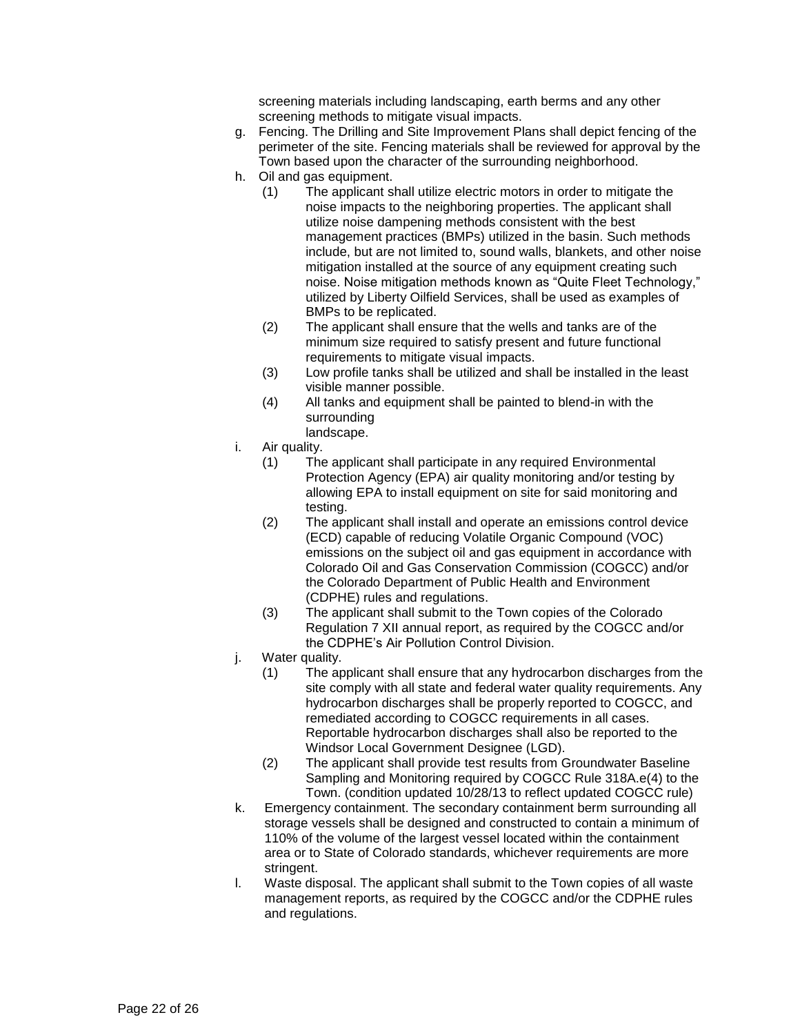screening materials including landscaping, earth berms and any other screening methods to mitigate visual impacts.

- g. Fencing. The Drilling and Site Improvement Plans shall depict fencing of the perimeter of the site. Fencing materials shall be reviewed for approval by the Town based upon the character of the surrounding neighborhood.
- h. Oil and gas equipment.
	- (1) The applicant shall utilize electric motors in order to mitigate the noise impacts to the neighboring properties. The applicant shall utilize noise dampening methods consistent with the best management practices (BMPs) utilized in the basin. Such methods include, but are not limited to, sound walls, blankets, and other noise mitigation installed at the source of any equipment creating such noise. Noise mitigation methods known as "Quite Fleet Technology," utilized by Liberty Oilfield Services, shall be used as examples of BMPs to be replicated.
	- (2) The applicant shall ensure that the wells and tanks are of the minimum size required to satisfy present and future functional requirements to mitigate visual impacts.
	- (3) Low profile tanks shall be utilized and shall be installed in the least visible manner possible.
	- (4) All tanks and equipment shall be painted to blend-in with the surrounding
	- landscape.
- i. Air quality.
	- (1) The applicant shall participate in any required Environmental Protection Agency (EPA) air quality monitoring and/or testing by allowing EPA to install equipment on site for said monitoring and testing.
	- (2) The applicant shall install and operate an emissions control device (ECD) capable of reducing Volatile Organic Compound (VOC) emissions on the subject oil and gas equipment in accordance with Colorado Oil and Gas Conservation Commission (COGCC) and/or the Colorado Department of Public Health and Environment (CDPHE) rules and regulations.
	- (3) The applicant shall submit to the Town copies of the Colorado Regulation 7 XII annual report, as required by the COGCC and/or the CDPHE's Air Pollution Control Division.
- j. Water quality.
	- (1) The applicant shall ensure that any hydrocarbon discharges from the site comply with all state and federal water quality requirements. Any hydrocarbon discharges shall be properly reported to COGCC, and remediated according to COGCC requirements in all cases. Reportable hydrocarbon discharges shall also be reported to the Windsor Local Government Designee (LGD).
	- (2) The applicant shall provide test results from Groundwater Baseline Sampling and Monitoring required by COGCC Rule 318A.e(4) to the Town. (condition updated 10/28/13 to reflect updated COGCC rule)
- k. Emergency containment. The secondary containment berm surrounding all storage vessels shall be designed and constructed to contain a minimum of 110% of the volume of the largest vessel located within the containment area or to State of Colorado standards, whichever requirements are more stringent.
- l. Waste disposal. The applicant shall submit to the Town copies of all waste management reports, as required by the COGCC and/or the CDPHE rules and regulations.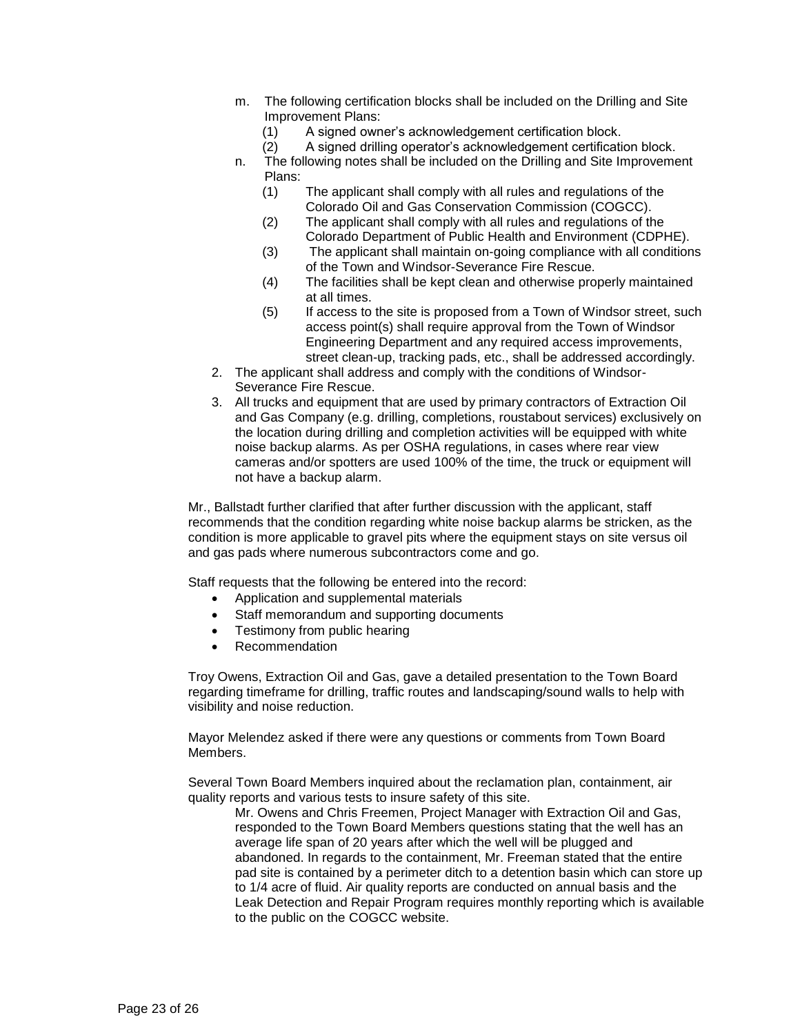- m. The following certification blocks shall be included on the Drilling and Site Improvement Plans:
	- (1) A signed owner's acknowledgement certification block.
	- (2) A signed drilling operator's acknowledgement certification block.
- n. The following notes shall be included on the Drilling and Site Improvement Plans:
	- (1) The applicant shall comply with all rules and regulations of the Colorado Oil and Gas Conservation Commission (COGCC).
	- (2) The applicant shall comply with all rules and regulations of the Colorado Department of Public Health and Environment (CDPHE).
	- (3) The applicant shall maintain on-going compliance with all conditions of the Town and Windsor-Severance Fire Rescue.
	- (4) The facilities shall be kept clean and otherwise properly maintained at all times.
	- (5) If access to the site is proposed from a Town of Windsor street, such access point(s) shall require approval from the Town of Windsor Engineering Department and any required access improvements, street clean-up, tracking pads, etc., shall be addressed accordingly.
- 2. The applicant shall address and comply with the conditions of Windsor-Severance Fire Rescue.
- 3. All trucks and equipment that are used by primary contractors of Extraction Oil and Gas Company (e.g. drilling, completions, roustabout services) exclusively on the location during drilling and completion activities will be equipped with white noise backup alarms. As per OSHA regulations, in cases where rear view cameras and/or spotters are used 100% of the time, the truck or equipment will not have a backup alarm.

Mr., Ballstadt further clarified that after further discussion with the applicant, staff recommends that the condition regarding white noise backup alarms be stricken, as the condition is more applicable to gravel pits where the equipment stays on site versus oil and gas pads where numerous subcontractors come and go.

Staff requests that the following be entered into the record:

- Application and supplemental materials
- Staff memorandum and supporting documents
- Testimony from public hearing
- Recommendation

Troy Owens, Extraction Oil and Gas, gave a detailed presentation to the Town Board regarding timeframe for drilling, traffic routes and landscaping/sound walls to help with visibility and noise reduction.

Mayor Melendez asked if there were any questions or comments from Town Board Members.

Several Town Board Members inquired about the reclamation plan, containment, air quality reports and various tests to insure safety of this site.

Mr. Owens and Chris Freemen, Project Manager with Extraction Oil and Gas, responded to the Town Board Members questions stating that the well has an average life span of 20 years after which the well will be plugged and abandoned. In regards to the containment, Mr. Freeman stated that the entire pad site is contained by a perimeter ditch to a detention basin which can store up to 1/4 acre of fluid. Air quality reports are conducted on annual basis and the Leak Detection and Repair Program requires monthly reporting which is available to the public on the COGCC website.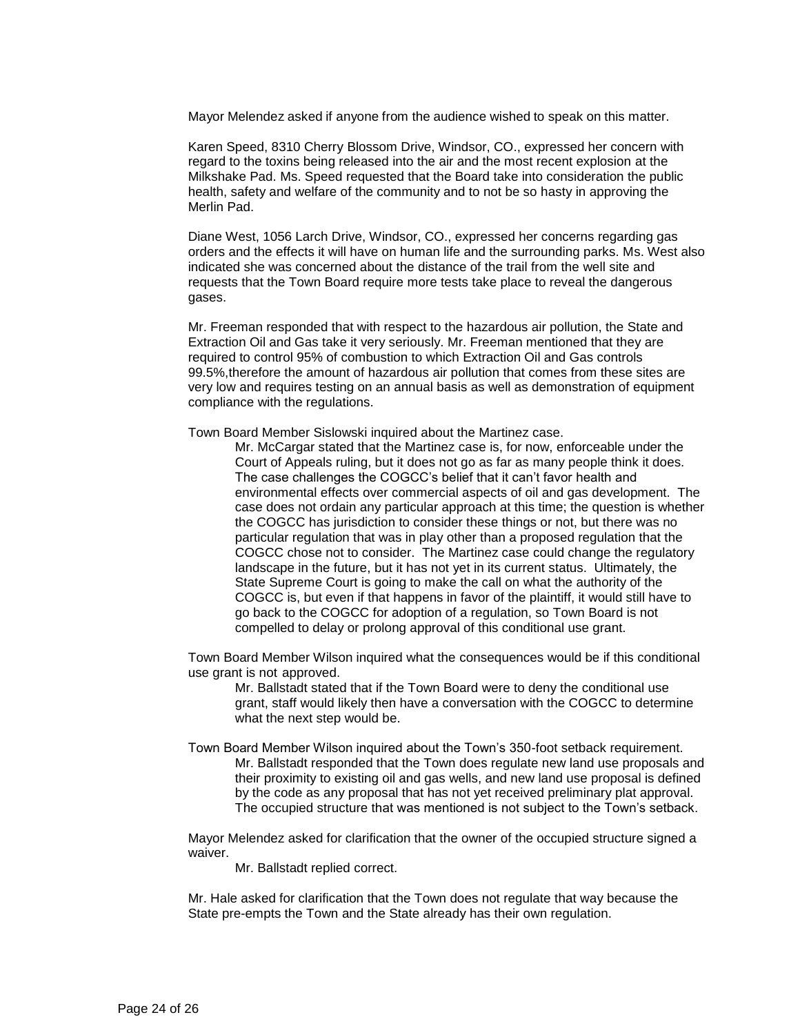Mayor Melendez asked if anyone from the audience wished to speak on this matter.

Karen Speed, 8310 Cherry Blossom Drive, Windsor, CO., expressed her concern with regard to the toxins being released into the air and the most recent explosion at the Milkshake Pad. Ms. Speed requested that the Board take into consideration the public health, safety and welfare of the community and to not be so hasty in approving the Merlin Pad.

Diane West, 1056 Larch Drive, Windsor, CO., expressed her concerns regarding gas orders and the effects it will have on human life and the surrounding parks. Ms. West also indicated she was concerned about the distance of the trail from the well site and requests that the Town Board require more tests take place to reveal the dangerous gases.

Mr. Freeman responded that with respect to the hazardous air pollution, the State and Extraction Oil and Gas take it very seriously. Mr. Freeman mentioned that they are required to control 95% of combustion to which Extraction Oil and Gas controls 99.5%,therefore the amount of hazardous air pollution that comes from these sites are very low and requires testing on an annual basis as well as demonstration of equipment compliance with the regulations.

Town Board Member Sislowski inquired about the Martinez case.

Mr. McCargar stated that the Martinez case is, for now, enforceable under the Court of Appeals ruling, but it does not go as far as many people think it does. The case challenges the COGCC's belief that it can't favor health and environmental effects over commercial aspects of oil and gas development. The case does not ordain any particular approach at this time; the question is whether the COGCC has jurisdiction to consider these things or not, but there was no particular regulation that was in play other than a proposed regulation that the COGCC chose not to consider. The Martinez case could change the regulatory landscape in the future, but it has not yet in its current status. Ultimately, the State Supreme Court is going to make the call on what the authority of the COGCC is, but even if that happens in favor of the plaintiff, it would still have to go back to the COGCC for adoption of a regulation, so Town Board is not compelled to delay or prolong approval of this conditional use grant.

Town Board Member Wilson inquired what the consequences would be if this conditional use grant is not approved.

Mr. Ballstadt stated that if the Town Board were to deny the conditional use grant, staff would likely then have a conversation with the COGCC to determine what the next step would be.

Town Board Member Wilson inquired about the Town's 350-foot setback requirement. Mr. Ballstadt responded that the Town does regulate new land use proposals and their proximity to existing oil and gas wells, and new land use proposal is defined by the code as any proposal that has not yet received preliminary plat approval. The occupied structure that was mentioned is not subject to the Town's setback.

Mayor Melendez asked for clarification that the owner of the occupied structure signed a waiver.

Mr. Ballstadt replied correct.

Mr. Hale asked for clarification that the Town does not regulate that way because the State pre-empts the Town and the State already has their own regulation.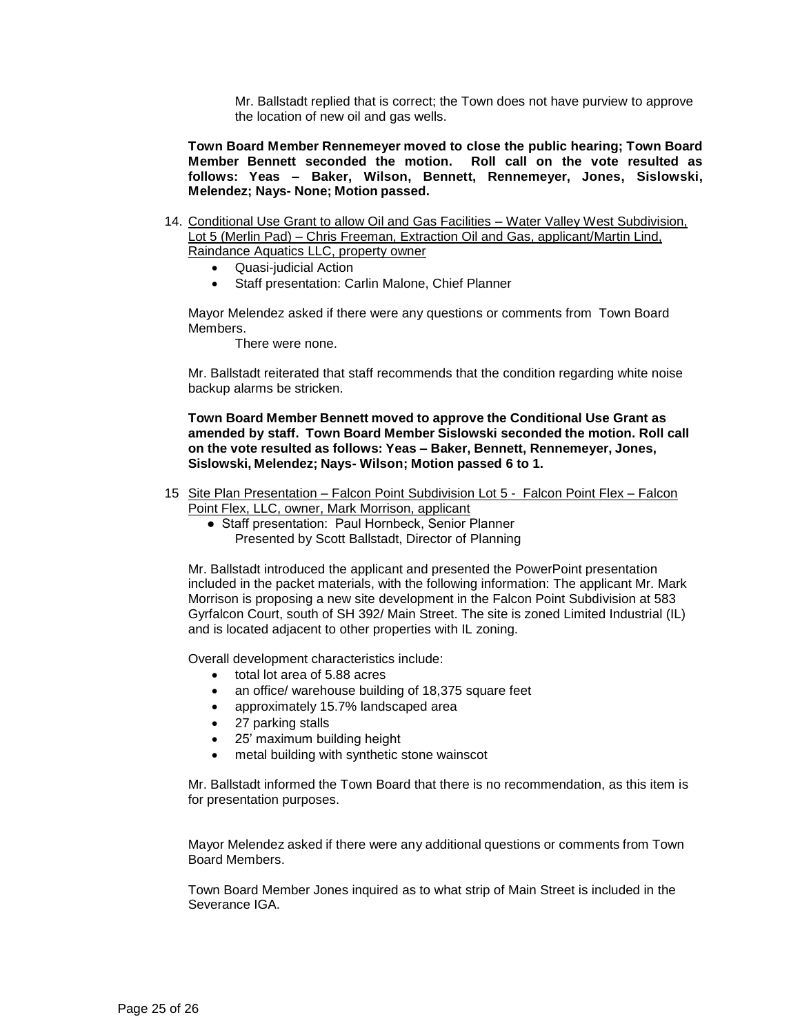Mr. Ballstadt replied that is correct; the Town does not have purview to approve the location of new oil and gas wells.

**Town Board Member Rennemeyer moved to close the public hearing; Town Board Member Bennett seconded the motion. Roll call on the vote resulted as follows: Yeas – Baker, Wilson, Bennett, Rennemeyer, Jones, Sislowski, Melendez; Nays- None; Motion passed.**

- 14. Conditional Use Grant to allow Oil and Gas Facilities Water Valley West Subdivision, Lot 5 (Merlin Pad) – Chris Freeman, Extraction Oil and Gas, applicant/Martin Lind, Raindance Aquatics LLC, property owner
	- Quasi-judicial Action
	- Staff presentation: Carlin Malone, Chief Planner

Mayor Melendez asked if there were any questions or comments from Town Board Members.

There were none.

Mr. Ballstadt reiterated that staff recommends that the condition regarding white noise backup alarms be stricken.

**Town Board Member Bennett moved to approve the Conditional Use Grant as amended by staff. Town Board Member Sislowski seconded the motion. Roll call on the vote resulted as follows: Yeas – Baker, Bennett, Rennemeyer, Jones, Sislowski, Melendez; Nays- Wilson; Motion passed 6 to 1.** 

- 15 Site Plan Presentation Falcon Point Subdivision Lot 5 Falcon Point Flex Falcon Point Flex, LLC, owner, Mark Morrison, applicant
	- Staff presentation: Paul Hornbeck, Senior Planner
		- Presented by Scott Ballstadt, Director of Planning

Mr. Ballstadt introduced the applicant and presented the PowerPoint presentation included in the packet materials, with the following information: The applicant Mr. Mark Morrison is proposing a new site development in the Falcon Point Subdivision at 583 Gyrfalcon Court, south of SH 392/ Main Street. The site is zoned Limited Industrial (IL) and is located adjacent to other properties with IL zoning.

Overall development characteristics include:

- total lot area of 5.88 acres
- an office/ warehouse building of 18,375 square feet
- approximately 15.7% landscaped area
- 27 parking stalls
- 25' maximum building height
- metal building with synthetic stone wainscot

Mr. Ballstadt informed the Town Board that there is no recommendation, as this item is for presentation purposes.

Mayor Melendez asked if there were any additional questions or comments from Town Board Members.

Town Board Member Jones inquired as to what strip of Main Street is included in the Severance IGA.